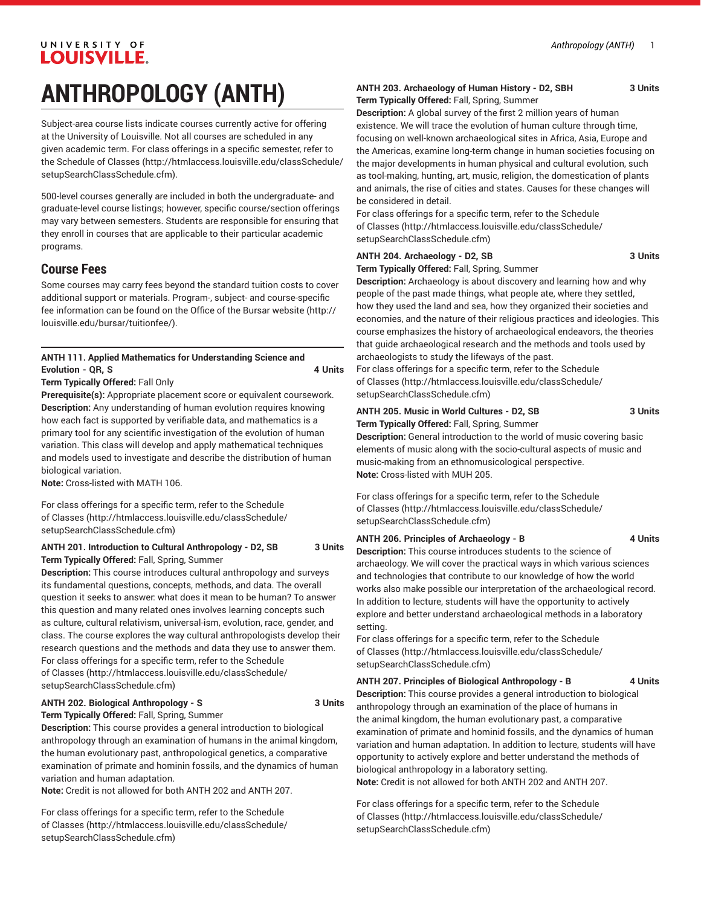# **ANTHROPOLOGY (ANTH)**

Subject-area course lists indicate courses currently active for offering at the University of Louisville. Not all courses are scheduled in any given academic term. For class offerings in a specific semester, refer to the [Schedule of Classes](http://htmlaccess.louisville.edu/classSchedule/setupSearchClassSchedule.cfm) ([http://htmlaccess.louisville.edu/classSchedule/](http://htmlaccess.louisville.edu/classSchedule/setupSearchClassSchedule.cfm) [setupSearchClassSchedule.cfm\)](http://htmlaccess.louisville.edu/classSchedule/setupSearchClassSchedule.cfm).

500-level courses generally are included in both the undergraduate- and graduate-level course listings; however, specific course/section offerings may vary between semesters. Students are responsible for ensuring that they enroll in courses that are applicable to their particular academic programs.

# **Course Fees**

Some courses may carry fees beyond the standard tuition costs to cover additional support or materials. Program-, subject- and course-specific fee information can be found on the [Office of the Bursar website](http://louisville.edu/bursar/tuitionfee/) ([http://](http://louisville.edu/bursar/tuitionfee/) [louisville.edu/bursar/tuitionfee/](http://louisville.edu/bursar/tuitionfee/)).

#### **ANTH 111. Applied Mathematics for Understanding Science and Evolution - QR, S 4 Units**

**Term Typically Offered:** Fall Only

**Prerequisite(s):** Appropriate placement score or equivalent coursework. **Description:** Any understanding of human evolution requires knowing how each fact is supported by verifiable data, and mathematics is a primary tool for any scientific investigation of the evolution of human variation. This class will develop and apply mathematical techniques and models used to investigate and describe the distribution of human biological variation.

**Note:** Cross-listed with MATH 106.

For class offerings for a specific term, refer to the [Schedule](http://htmlaccess.louisville.edu/classSchedule/setupSearchClassSchedule.cfm) [of Classes \(http://htmlaccess.louisville.edu/classSchedule/](http://htmlaccess.louisville.edu/classSchedule/setupSearchClassSchedule.cfm) [setupSearchClassSchedule.cfm\)](http://htmlaccess.louisville.edu/classSchedule/setupSearchClassSchedule.cfm)

#### **ANTH 201. Introduction to Cultural Anthropology - D2, SB 3 Units Term Typically Offered:** Fall, Spring, Summer

**Description:** This course introduces cultural anthropology and surveys its fundamental questions, concepts, methods, and data. The overall question it seeks to answer: what does it mean to be human? To answer this question and many related ones involves learning concepts such as culture, cultural relativism, universal-ism, evolution, race, gender, and class. The course explores the way cultural anthropologists develop their research questions and the methods and data they use to answer them. For class offerings for a specific term, refer to the [Schedule](http://htmlaccess.louisville.edu/classSchedule/setupSearchClassSchedule.cfm) [of Classes \(http://htmlaccess.louisville.edu/classSchedule/](http://htmlaccess.louisville.edu/classSchedule/setupSearchClassSchedule.cfm) [setupSearchClassSchedule.cfm\)](http://htmlaccess.louisville.edu/classSchedule/setupSearchClassSchedule.cfm)

#### ANTH 202. Biological Anthropology - S 3 Units

**Term Typically Offered:** Fall, Spring, Summer

**Description:** This course provides a general introduction to biological anthropology through an examination of humans in the animal kingdom, the human evolutionary past, anthropological genetics, a comparative examination of primate and hominin fossils, and the dynamics of human variation and human adaptation.

**Note:** Credit is not allowed for both ANTH 202 and ANTH 207.

For class offerings for a specific term, refer to the [Schedule](http://htmlaccess.louisville.edu/classSchedule/setupSearchClassSchedule.cfm) [of Classes \(http://htmlaccess.louisville.edu/classSchedule/](http://htmlaccess.louisville.edu/classSchedule/setupSearchClassSchedule.cfm) [setupSearchClassSchedule.cfm\)](http://htmlaccess.louisville.edu/classSchedule/setupSearchClassSchedule.cfm)

#### **ANTH 203. Archaeology of Human History - D2, SBH 3 Units Term Typically Offered:** Fall, Spring, Summer

**Description:** A global survey of the first 2 million years of human existence. We will trace the evolution of human culture through time, focusing on well-known archaeological sites in Africa, Asia, Europe and the Americas, examine long-term change in human societies focusing on the major developments in human physical and cultural evolution, such as tool-making, hunting, art, music, religion, the domestication of plants and animals, the rise of cities and states. Causes for these changes will be considered in detail.

For class offerings for a specific term, refer to the [Schedule](http://htmlaccess.louisville.edu/classSchedule/setupSearchClassSchedule.cfm) [of Classes](http://htmlaccess.louisville.edu/classSchedule/setupSearchClassSchedule.cfm) ([http://htmlaccess.louisville.edu/classSchedule/](http://htmlaccess.louisville.edu/classSchedule/setupSearchClassSchedule.cfm) [setupSearchClassSchedule.cfm\)](http://htmlaccess.louisville.edu/classSchedule/setupSearchClassSchedule.cfm)

### ANTH 204. Archaeology - D2, SB 3 Units

**Term Typically Offered:** Fall, Spring, Summer

**Description:** Archaeology is about discovery and learning how and why people of the past made things, what people ate, where they settled, how they used the land and sea, how they organized their societies and economies, and the nature of their religious practices and ideologies. This course emphasizes the history of archaeological endeavors, the theories that guide archaeological research and the methods and tools used by archaeologists to study the lifeways of the past.

For class offerings for a specific term, refer to the [Schedule](http://htmlaccess.louisville.edu/classSchedule/setupSearchClassSchedule.cfm) [of Classes](http://htmlaccess.louisville.edu/classSchedule/setupSearchClassSchedule.cfm) ([http://htmlaccess.louisville.edu/classSchedule/](http://htmlaccess.louisville.edu/classSchedule/setupSearchClassSchedule.cfm) [setupSearchClassSchedule.cfm\)](http://htmlaccess.louisville.edu/classSchedule/setupSearchClassSchedule.cfm)

**ANTH 205. Music in World Cultures - D2, SB 3 Units Term Typically Offered:** Fall, Spring, Summer

**Description:** General introduction to the world of music covering basic elements of music along with the socio-cultural aspects of music and music-making from an ethnomusicological perspective. **Note:** Cross-listed with MUH 205.

For class offerings for a specific term, refer to the [Schedule](http://htmlaccess.louisville.edu/classSchedule/setupSearchClassSchedule.cfm) [of Classes](http://htmlaccess.louisville.edu/classSchedule/setupSearchClassSchedule.cfm) ([http://htmlaccess.louisville.edu/classSchedule/](http://htmlaccess.louisville.edu/classSchedule/setupSearchClassSchedule.cfm) [setupSearchClassSchedule.cfm\)](http://htmlaccess.louisville.edu/classSchedule/setupSearchClassSchedule.cfm)

ANTH 206. Principles of Archaeology - B 4 Units

**Description:** This course introduces students to the science of archaeology. We will cover the practical ways in which various sciences and technologies that contribute to our knowledge of how the world works also make possible our interpretation of the archaeological record. In addition to lecture, students will have the opportunity to actively explore and better understand archaeological methods in a laboratory setting.

For class offerings for a specific term, refer to the [Schedule](http://htmlaccess.louisville.edu/classSchedule/setupSearchClassSchedule.cfm) [of Classes](http://htmlaccess.louisville.edu/classSchedule/setupSearchClassSchedule.cfm) ([http://htmlaccess.louisville.edu/classSchedule/](http://htmlaccess.louisville.edu/classSchedule/setupSearchClassSchedule.cfm) [setupSearchClassSchedule.cfm\)](http://htmlaccess.louisville.edu/classSchedule/setupSearchClassSchedule.cfm)

#### ANTH 207. Principles of Biological Anthropology - B 4 Units

**Description:** This course provides a general introduction to biological anthropology through an examination of the place of humans in the animal kingdom, the human evolutionary past, a comparative examination of primate and hominid fossils, and the dynamics of human variation and human adaptation. In addition to lecture, students will have opportunity to actively explore and better understand the methods of biological anthropology in a laboratory setting.

**Note:** Credit is not allowed for both ANTH 202 and ANTH 207.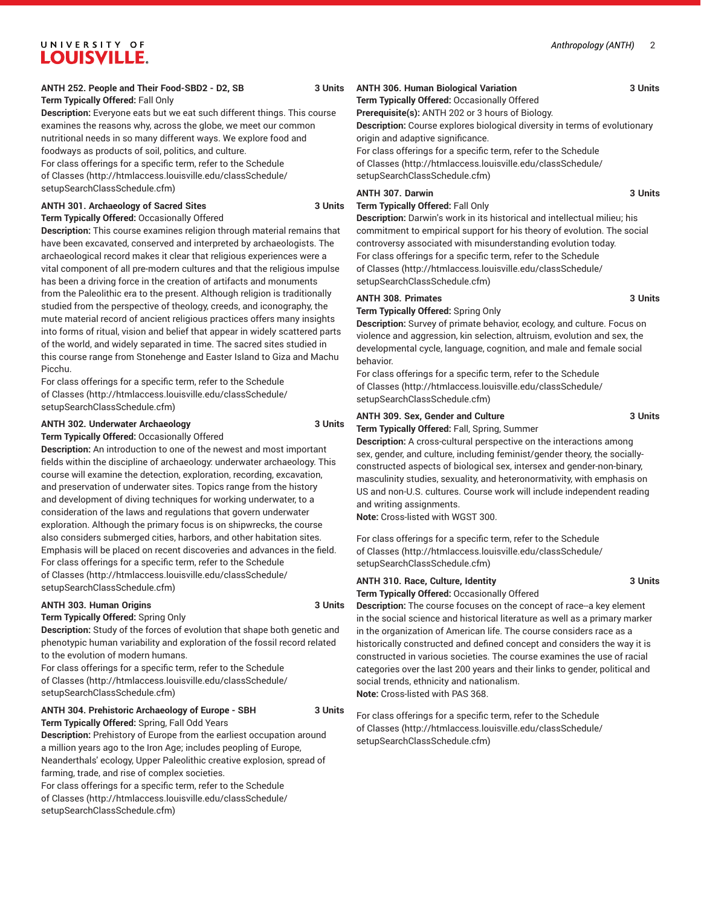#### **ANTH 252. People and Their Food-SBD2 - D2, SB 3 Units Term Typically Offered:** Fall Only

**Description:** Everyone eats but we eat such different things. This course examines the reasons why, across the globe, we meet our common nutritional needs in so many different ways. We explore food and foodways as products of soil, politics, and culture. For class offerings for a specific term, refer to the [Schedule](http://htmlaccess.louisville.edu/classSchedule/setupSearchClassSchedule.cfm) [of Classes \(http://htmlaccess.louisville.edu/classSchedule/](http://htmlaccess.louisville.edu/classSchedule/setupSearchClassSchedule.cfm) [setupSearchClassSchedule.cfm\)](http://htmlaccess.louisville.edu/classSchedule/setupSearchClassSchedule.cfm)

#### **ANTH 301. Archaeology of Sacred Sites 3 Units Term Typically Offered:** Occasionally Offered

**Description:** This course examines religion through material remains that have been excavated, conserved and interpreted by archaeologists. The archaeological record makes it clear that religious experiences were a vital component of all pre-modern cultures and that the religious impulse has been a driving force in the creation of artifacts and monuments from the Paleolithic era to the present. Although religion is traditionally studied from the perspective of theology, creeds, and iconography, the mute material record of ancient religious practices offers many insights into forms of ritual, vision and belief that appear in widely scattered parts of the world, and widely separated in time. The sacred sites studied in this course range from Stonehenge and Easter Island to Giza and Machu Picchu.

For class offerings for a specific term, refer to the [Schedule](http://htmlaccess.louisville.edu/classSchedule/setupSearchClassSchedule.cfm) [of Classes \(http://htmlaccess.louisville.edu/classSchedule/](http://htmlaccess.louisville.edu/classSchedule/setupSearchClassSchedule.cfm) [setupSearchClassSchedule.cfm\)](http://htmlaccess.louisville.edu/classSchedule/setupSearchClassSchedule.cfm)

#### **ANTH 302. Underwater Archaeology 3 Units**

**Term Typically Offered:** Occasionally Offered

**Description:** An introduction to one of the newest and most important fields within the discipline of archaeology: underwater archaeology. This course will examine the detection, exploration, recording, excavation, and preservation of underwater sites. Topics range from the history and development of diving techniques for working underwater, to a consideration of the laws and regulations that govern underwater exploration. Although the primary focus is on shipwrecks, the course also considers submerged cities, harbors, and other habitation sites. Emphasis will be placed on recent discoveries and advances in the field. For class offerings for a specific term, refer to the [Schedule](http://htmlaccess.louisville.edu/classSchedule/setupSearchClassSchedule.cfm) [of Classes \(http://htmlaccess.louisville.edu/classSchedule/](http://htmlaccess.louisville.edu/classSchedule/setupSearchClassSchedule.cfm) [setupSearchClassSchedule.cfm\)](http://htmlaccess.louisville.edu/classSchedule/setupSearchClassSchedule.cfm)

#### ANTH 303. Human Origins 3 Units

#### **Term Typically Offered:** Spring Only

**Description:** Study of the forces of evolution that shape both genetic and phenotypic human variability and exploration of the fossil record related to the evolution of modern humans.

For class offerings for a specific term, refer to the [Schedule](http://htmlaccess.louisville.edu/classSchedule/setupSearchClassSchedule.cfm) [of Classes \(http://htmlaccess.louisville.edu/classSchedule/](http://htmlaccess.louisville.edu/classSchedule/setupSearchClassSchedule.cfm) [setupSearchClassSchedule.cfm\)](http://htmlaccess.louisville.edu/classSchedule/setupSearchClassSchedule.cfm)

# **ANTH 304. Prehistoric Archaeology of Europe - SBH 3 Units**

**Term Typically Offered:** Spring, Fall Odd Years **Description:** Prehistory of Europe from the earliest occupation around a million years ago to the Iron Age; includes peopling of Europe, Neanderthals' ecology, Upper Paleolithic creative explosion, spread of farming, trade, and rise of complex societies.

For class offerings for a specific term, refer to the [Schedule](http://htmlaccess.louisville.edu/classSchedule/setupSearchClassSchedule.cfm) [of Classes \(http://htmlaccess.louisville.edu/classSchedule/](http://htmlaccess.louisville.edu/classSchedule/setupSearchClassSchedule.cfm) [setupSearchClassSchedule.cfm\)](http://htmlaccess.louisville.edu/classSchedule/setupSearchClassSchedule.cfm)

### **ANTH 306. Human Biological Variation 3 Units**

**Term Typically Offered:** Occasionally Offered

**Prerequisite(s):** ANTH 202 or 3 hours of Biology. **Description:** Course explores biological diversity in terms of evolutionary

origin and adaptive significance. For class offerings for a specific term, refer to the [Schedule](http://htmlaccess.louisville.edu/classSchedule/setupSearchClassSchedule.cfm) [of Classes](http://htmlaccess.louisville.edu/classSchedule/setupSearchClassSchedule.cfm) ([http://htmlaccess.louisville.edu/classSchedule/](http://htmlaccess.louisville.edu/classSchedule/setupSearchClassSchedule.cfm) [setupSearchClassSchedule.cfm\)](http://htmlaccess.louisville.edu/classSchedule/setupSearchClassSchedule.cfm)

#### **ANTH 307. Darwin 3 Units**

#### **Term Typically Offered:** Fall Only

**Description:** Darwin's work in its historical and intellectual milieu; his commitment to empirical support for his theory of evolution. The social controversy associated with misunderstanding evolution today. For class offerings for a specific term, refer to the [Schedule](http://htmlaccess.louisville.edu/classSchedule/setupSearchClassSchedule.cfm) [of Classes](http://htmlaccess.louisville.edu/classSchedule/setupSearchClassSchedule.cfm) ([http://htmlaccess.louisville.edu/classSchedule/](http://htmlaccess.louisville.edu/classSchedule/setupSearchClassSchedule.cfm) [setupSearchClassSchedule.cfm\)](http://htmlaccess.louisville.edu/classSchedule/setupSearchClassSchedule.cfm)

#### ANTH 308. Primates 3 Units

**Term Typically Offered:** Spring Only

**Description:** Survey of primate behavior, ecology, and culture. Focus on violence and aggression, kin selection, altruism, evolution and sex, the developmental cycle, language, cognition, and male and female social behavior.

For class offerings for a specific term, refer to the [Schedule](http://htmlaccess.louisville.edu/classSchedule/setupSearchClassSchedule.cfm) [of Classes](http://htmlaccess.louisville.edu/classSchedule/setupSearchClassSchedule.cfm) ([http://htmlaccess.louisville.edu/classSchedule/](http://htmlaccess.louisville.edu/classSchedule/setupSearchClassSchedule.cfm) [setupSearchClassSchedule.cfm\)](http://htmlaccess.louisville.edu/classSchedule/setupSearchClassSchedule.cfm)

#### **ANTH 309. Sex, Gender and Culture 3 Units**

**Term Typically Offered:** Fall, Spring, Summer

**Description:** A cross-cultural perspective on the interactions among sex, gender, and culture, including feminist/gender theory, the sociallyconstructed aspects of biological sex, intersex and gender-non-binary, masculinity studies, sexuality, and heteronormativity, with emphasis on US and non-U.S. cultures. Course work will include independent reading and writing assignments.

**Note:** Cross-listed with WGST 300.

For class offerings for a specific term, refer to the [Schedule](http://htmlaccess.louisville.edu/classSchedule/setupSearchClassSchedule.cfm) [of Classes](http://htmlaccess.louisville.edu/classSchedule/setupSearchClassSchedule.cfm) ([http://htmlaccess.louisville.edu/classSchedule/](http://htmlaccess.louisville.edu/classSchedule/setupSearchClassSchedule.cfm) [setupSearchClassSchedule.cfm\)](http://htmlaccess.louisville.edu/classSchedule/setupSearchClassSchedule.cfm)

# **ANTH 310. Race, Culture, Identity 3 Units**

**Term Typically Offered:** Occasionally Offered

**Description:** The course focuses on the concept of race--a key element in the social science and historical literature as well as a primary marker in the organization of American life. The course considers race as a historically constructed and defined concept and considers the way it is constructed in various societies. The course examines the use of racial categories over the last 200 years and their links to gender, political and social trends, ethnicity and nationalism. **Note:** Cross-listed with PAS 368.

*Anthropology (ANTH)* 2

[of Classes](http://htmlaccess.louisville.edu/classSchedule/setupSearchClassSchedule.cfm) ([http://htmlaccess.louisville.edu/classSchedule/](http://htmlaccess.louisville.edu/classSchedule/setupSearchClassSchedule.cfm) [setupSearchClassSchedule.cfm\)](http://htmlaccess.louisville.edu/classSchedule/setupSearchClassSchedule.cfm)

For class offerings for a specific term, refer to the [Schedule](http://htmlaccess.louisville.edu/classSchedule/setupSearchClassSchedule.cfm)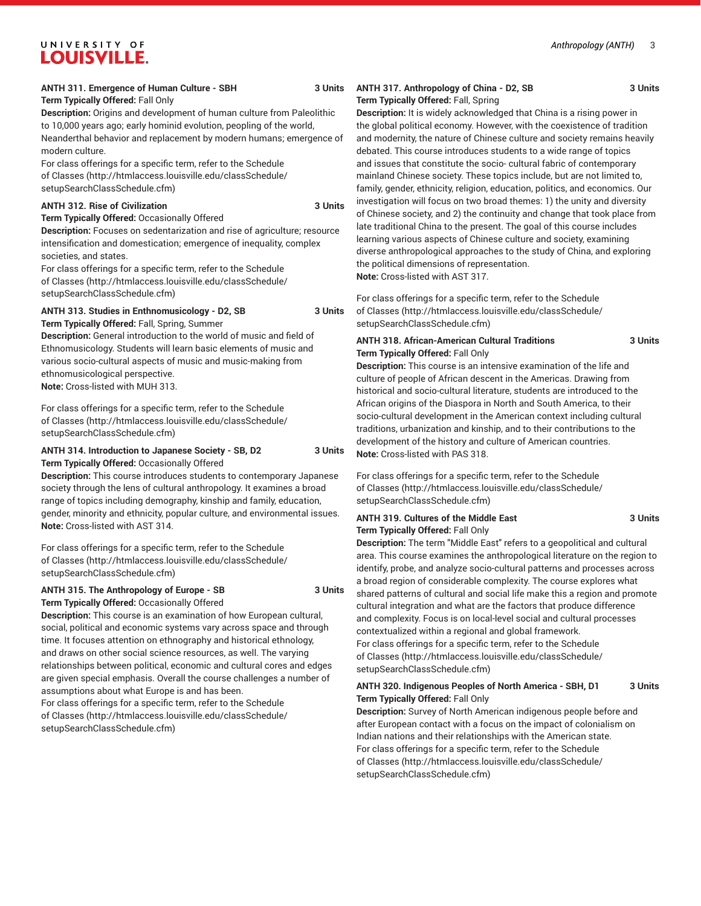**Term Typically Offered:** Fall Only

**Description:** Origins and development of human culture from Paleolithic to 10,000 years ago; early hominid evolution, peopling of the world, Neanderthal behavior and replacement by modern humans; emergence of modern culture.

For class offerings for a specific term, refer to the [Schedule](http://htmlaccess.louisville.edu/classSchedule/setupSearchClassSchedule.cfm) [of Classes \(http://htmlaccess.louisville.edu/classSchedule/](http://htmlaccess.louisville.edu/classSchedule/setupSearchClassSchedule.cfm) [setupSearchClassSchedule.cfm\)](http://htmlaccess.louisville.edu/classSchedule/setupSearchClassSchedule.cfm)

#### **ANTH 312. Rise of Civilization 3 Units**

#### **Term Typically Offered:** Occasionally Offered

**Description:** Focuses on sedentarization and rise of agriculture; resource intensification and domestication; emergence of inequality, complex societies, and states.

For class offerings for a specific term, refer to the [Schedule](http://htmlaccess.louisville.edu/classSchedule/setupSearchClassSchedule.cfm) [of Classes \(http://htmlaccess.louisville.edu/classSchedule/](http://htmlaccess.louisville.edu/classSchedule/setupSearchClassSchedule.cfm) [setupSearchClassSchedule.cfm\)](http://htmlaccess.louisville.edu/classSchedule/setupSearchClassSchedule.cfm)

# **ANTH 313. Studies in Enthnomusicology - D2, SB 3 Units**

**Term Typically Offered:** Fall, Spring, Summer **Description:** General introduction to the world of music and field of

Ethnomusicology. Students will learn basic elements of music and various socio-cultural aspects of music and music-making from ethnomusicological perspective. **Note:** Cross-listed with MUH 313.

For class offerings for a specific term, refer to the [Schedule](http://htmlaccess.louisville.edu/classSchedule/setupSearchClassSchedule.cfm) [of Classes \(http://htmlaccess.louisville.edu/classSchedule/](http://htmlaccess.louisville.edu/classSchedule/setupSearchClassSchedule.cfm) [setupSearchClassSchedule.cfm\)](http://htmlaccess.louisville.edu/classSchedule/setupSearchClassSchedule.cfm)

#### **ANTH 314. Introduction to Japanese Society - SB, D2 3 Units Term Typically Offered:** Occasionally Offered

**Description:** This course introduces students to contemporary Japanese society through the lens of cultural anthropology. It examines a broad range of topics including demography, kinship and family, education, gender, minority and ethnicity, popular culture, and environmental issues. **Note:** Cross-listed with AST 314.

For class offerings for a specific term, refer to the [Schedule](http://htmlaccess.louisville.edu/classSchedule/setupSearchClassSchedule.cfm) [of Classes \(http://htmlaccess.louisville.edu/classSchedule/](http://htmlaccess.louisville.edu/classSchedule/setupSearchClassSchedule.cfm) [setupSearchClassSchedule.cfm\)](http://htmlaccess.louisville.edu/classSchedule/setupSearchClassSchedule.cfm)

#### **ANTH 315. The Anthropology of Europe - SB 3 Units Term Typically Offered:** Occasionally Offered

**Description:** This course is an examination of how European cultural, social, political and economic systems vary across space and through time. It focuses attention on ethnography and historical ethnology, and draws on other social science resources, as well. The varying relationships between political, economic and cultural cores and edges are given special emphasis. Overall the course challenges a number of assumptions about what Europe is and has been.

For class offerings for a specific term, refer to the [Schedule](http://htmlaccess.louisville.edu/classSchedule/setupSearchClassSchedule.cfm) [of Classes \(http://htmlaccess.louisville.edu/classSchedule/](http://htmlaccess.louisville.edu/classSchedule/setupSearchClassSchedule.cfm) [setupSearchClassSchedule.cfm\)](http://htmlaccess.louisville.edu/classSchedule/setupSearchClassSchedule.cfm)

#### **ANTH 317. Anthropology of China - D2, SB 3 Units Term Typically Offered:** Fall, Spring

**Description:** It is widely acknowledged that China is a rising power in the global political economy. However, with the coexistence of tradition and modernity, the nature of Chinese culture and society remains heavily debated. This course introduces students to a wide range of topics and issues that constitute the socio- cultural fabric of contemporary mainland Chinese society. These topics include, but are not limited to, family, gender, ethnicity, religion, education, politics, and economics. Our investigation will focus on two broad themes: 1) the unity and diversity of Chinese society, and 2) the continuity and change that took place from late traditional China to the present. The goal of this course includes learning various aspects of Chinese culture and society, examining

diverse anthropological approaches to the study of China, and exploring the political dimensions of representation.

**Note:** Cross-listed with AST 317.

For class offerings for a specific term, refer to the [Schedule](http://htmlaccess.louisville.edu/classSchedule/setupSearchClassSchedule.cfm) [of Classes](http://htmlaccess.louisville.edu/classSchedule/setupSearchClassSchedule.cfm) ([http://htmlaccess.louisville.edu/classSchedule/](http://htmlaccess.louisville.edu/classSchedule/setupSearchClassSchedule.cfm) [setupSearchClassSchedule.cfm\)](http://htmlaccess.louisville.edu/classSchedule/setupSearchClassSchedule.cfm)

#### **ANTH 318. African-American Cultural Traditions 3 Units Term Typically Offered:** Fall Only

**Description:** This course is an intensive examination of the life and culture of people of African descent in the Americas. Drawing from historical and socio-cultural literature, students are introduced to the African origins of the Diaspora in North and South America, to their socio-cultural development in the American context including cultural traditions, urbanization and kinship, and to their contributions to the development of the history and culture of American countries. **Note:** Cross-listed with PAS 318.

For class offerings for a specific term, refer to the [Schedule](http://htmlaccess.louisville.edu/classSchedule/setupSearchClassSchedule.cfm) [of Classes](http://htmlaccess.louisville.edu/classSchedule/setupSearchClassSchedule.cfm) ([http://htmlaccess.louisville.edu/classSchedule/](http://htmlaccess.louisville.edu/classSchedule/setupSearchClassSchedule.cfm) [setupSearchClassSchedule.cfm\)](http://htmlaccess.louisville.edu/classSchedule/setupSearchClassSchedule.cfm)

#### **ANTH 319. Cultures of the Middle East 3 Units Term Typically Offered:** Fall Only

**Description:** The term "Middle East" refers to a geopolitical and cultural area. This course examines the anthropological literature on the region to identify, probe, and analyze socio-cultural patterns and processes across a broad region of considerable complexity. The course explores what shared patterns of cultural and social life make this a region and promote cultural integration and what are the factors that produce difference and complexity. Focus is on local-level social and cultural processes contextualized within a regional and global framework. For class offerings for a specific term, refer to the [Schedule](http://htmlaccess.louisville.edu/classSchedule/setupSearchClassSchedule.cfm) [of Classes](http://htmlaccess.louisville.edu/classSchedule/setupSearchClassSchedule.cfm) ([http://htmlaccess.louisville.edu/classSchedule/](http://htmlaccess.louisville.edu/classSchedule/setupSearchClassSchedule.cfm) [setupSearchClassSchedule.cfm\)](http://htmlaccess.louisville.edu/classSchedule/setupSearchClassSchedule.cfm)

#### **ANTH 320. Indigenous Peoples of North America - SBH, D1 3 Units Term Typically Offered:** Fall Only

**Description:** Survey of North American indigenous people before and after European contact with a focus on the impact of colonialism on Indian nations and their relationships with the American state. For class offerings for a specific term, refer to the [Schedule](http://htmlaccess.louisville.edu/classSchedule/setupSearchClassSchedule.cfm) [of Classes](http://htmlaccess.louisville.edu/classSchedule/setupSearchClassSchedule.cfm) ([http://htmlaccess.louisville.edu/classSchedule/](http://htmlaccess.louisville.edu/classSchedule/setupSearchClassSchedule.cfm) [setupSearchClassSchedule.cfm\)](http://htmlaccess.louisville.edu/classSchedule/setupSearchClassSchedule.cfm)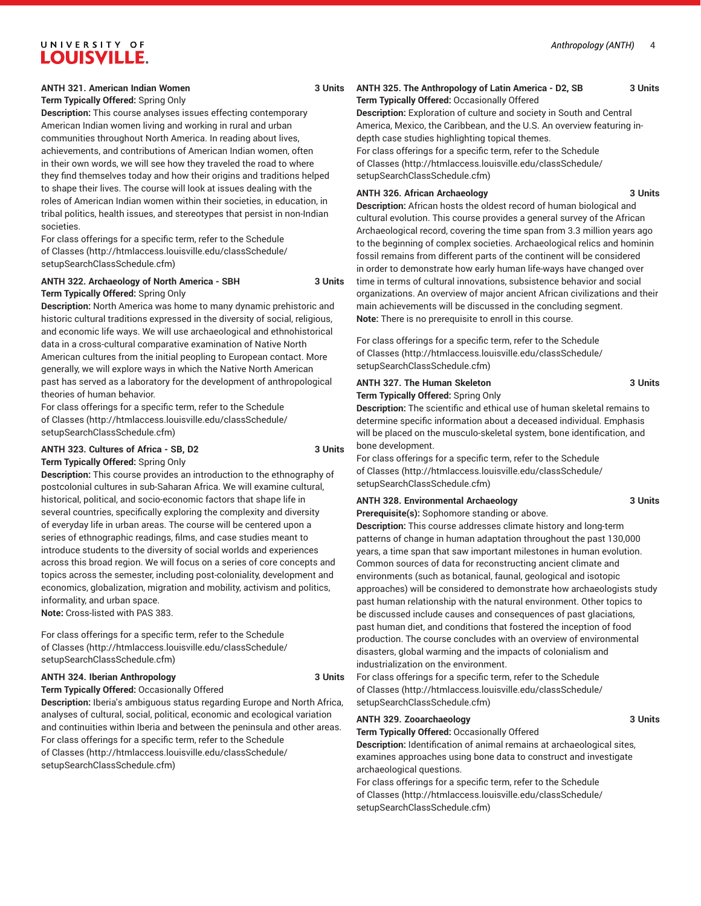#### **ANTH 321. American Indian Women 3 Units**

# **Term Typically Offered:** Spring Only

**Description:** This course analyses issues effecting contemporary American Indian women living and working in rural and urban communities throughout North America. In reading about lives, achievements, and contributions of American Indian women, often in their own words, we will see how they traveled the road to where they find themselves today and how their origins and traditions helped to shape their lives. The course will look at issues dealing with the roles of American Indian women within their societies, in education, in tribal politics, health issues, and stereotypes that persist in non-Indian societies.

For class offerings for a specific term, refer to the [Schedule](http://htmlaccess.louisville.edu/classSchedule/setupSearchClassSchedule.cfm) [of Classes \(http://htmlaccess.louisville.edu/classSchedule/](http://htmlaccess.louisville.edu/classSchedule/setupSearchClassSchedule.cfm) [setupSearchClassSchedule.cfm\)](http://htmlaccess.louisville.edu/classSchedule/setupSearchClassSchedule.cfm)

#### **ANTH 322. Archaeology of North America - SBH 3 Units Term Typically Offered:** Spring Only

**Description:** North America was home to many dynamic prehistoric and historic cultural traditions expressed in the diversity of social, religious, and economic life ways. We will use archaeological and ethnohistorical data in a cross-cultural comparative examination of Native North American cultures from the initial peopling to European contact. More generally, we will explore ways in which the Native North American past has served as a laboratory for the development of anthropological theories of human behavior.

For class offerings for a specific term, refer to the [Schedule](http://htmlaccess.louisville.edu/classSchedule/setupSearchClassSchedule.cfm) [of Classes \(http://htmlaccess.louisville.edu/classSchedule/](http://htmlaccess.louisville.edu/classSchedule/setupSearchClassSchedule.cfm) [setupSearchClassSchedule.cfm\)](http://htmlaccess.louisville.edu/classSchedule/setupSearchClassSchedule.cfm)

#### **ANTH 323. Cultures of Africa - SB, D2 3 Units Term Typically Offered:** Spring Only

**Description:** This course provides an introduction to the ethnography of postcolonial cultures in sub-Saharan Africa. We will examine cultural, historical, political, and socio-economic factors that shape life in several countries, specifically exploring the complexity and diversity of everyday life in urban areas. The course will be centered upon a series of ethnographic readings, films, and case studies meant to introduce students to the diversity of social worlds and experiences across this broad region. We will focus on a series of core concepts and topics across the semester, including post-coloniality, development and economics, globalization, migration and mobility, activism and politics, informality, and urban space.

**Note:** Cross-listed with PAS 383.

For class offerings for a specific term, refer to the [Schedule](http://htmlaccess.louisville.edu/classSchedule/setupSearchClassSchedule.cfm) [of Classes \(http://htmlaccess.louisville.edu/classSchedule/](http://htmlaccess.louisville.edu/classSchedule/setupSearchClassSchedule.cfm) [setupSearchClassSchedule.cfm\)](http://htmlaccess.louisville.edu/classSchedule/setupSearchClassSchedule.cfm)

#### **ANTH 324. Iberian Anthropology 3 Units**

**Term Typically Offered:** Occasionally Offered **Description:** Iberia's ambiguous status regarding Europe and North Africa, analyses of cultural, social, political, economic and ecological variation and continuities within Iberia and between the peninsula and other areas. For class offerings for a specific term, refer to the [Schedule](http://htmlaccess.louisville.edu/classSchedule/setupSearchClassSchedule.cfm) [of Classes \(http://htmlaccess.louisville.edu/classSchedule/](http://htmlaccess.louisville.edu/classSchedule/setupSearchClassSchedule.cfm) [setupSearchClassSchedule.cfm\)](http://htmlaccess.louisville.edu/classSchedule/setupSearchClassSchedule.cfm)

#### **ANTH 325. The Anthropology of Latin America - D2, SB 3 Units**

**Term Typically Offered:** Occasionally Offered **Description:** Exploration of culture and society in South and Central America, Mexico, the Caribbean, and the U.S. An overview featuring indepth case studies highlighting topical themes.

For class offerings for a specific term, refer to the [Schedule](http://htmlaccess.louisville.edu/classSchedule/setupSearchClassSchedule.cfm) [of Classes](http://htmlaccess.louisville.edu/classSchedule/setupSearchClassSchedule.cfm) ([http://htmlaccess.louisville.edu/classSchedule/](http://htmlaccess.louisville.edu/classSchedule/setupSearchClassSchedule.cfm) [setupSearchClassSchedule.cfm\)](http://htmlaccess.louisville.edu/classSchedule/setupSearchClassSchedule.cfm)

#### **ANTH 326. African Archaeology 3 Units**

**Description:** African hosts the oldest record of human biological and cultural evolution. This course provides a general survey of the African Archaeological record, covering the time span from 3.3 million years ago to the beginning of complex societies. Archaeological relics and hominin fossil remains from different parts of the continent will be considered in order to demonstrate how early human life-ways have changed over time in terms of cultural innovations, subsistence behavior and social organizations. An overview of major ancient African civilizations and their main achievements will be discussed in the concluding segment. **Note:** There is no prerequisite to enroll in this course.

For class offerings for a specific term, refer to the [Schedule](http://htmlaccess.louisville.edu/classSchedule/setupSearchClassSchedule.cfm) [of Classes](http://htmlaccess.louisville.edu/classSchedule/setupSearchClassSchedule.cfm) ([http://htmlaccess.louisville.edu/classSchedule/](http://htmlaccess.louisville.edu/classSchedule/setupSearchClassSchedule.cfm) [setupSearchClassSchedule.cfm\)](http://htmlaccess.louisville.edu/classSchedule/setupSearchClassSchedule.cfm)

#### **ANTH 327. The Human Skeleton 3 Units**

**Term Typically Offered:** Spring Only

**Description:** The scientific and ethical use of human skeletal remains to determine specific information about a deceased individual. Emphasis will be placed on the musculo-skeletal system, bone identification, and bone development.

For class offerings for a specific term, refer to the [Schedule](http://htmlaccess.louisville.edu/classSchedule/setupSearchClassSchedule.cfm) [of Classes](http://htmlaccess.louisville.edu/classSchedule/setupSearchClassSchedule.cfm) ([http://htmlaccess.louisville.edu/classSchedule/](http://htmlaccess.louisville.edu/classSchedule/setupSearchClassSchedule.cfm) [setupSearchClassSchedule.cfm\)](http://htmlaccess.louisville.edu/classSchedule/setupSearchClassSchedule.cfm)

#### **ANTH 328. Environmental Archaeology 3 Units**

**Prerequisite(s):** Sophomore standing or above.

**Description:** This course addresses climate history and long-term patterns of change in human adaptation throughout the past 130,000 years, a time span that saw important milestones in human evolution. Common sources of data for reconstructing ancient climate and environments (such as botanical, faunal, geological and isotopic approaches) will be considered to demonstrate how archaeologists study past human relationship with the natural environment. Other topics to be discussed include causes and consequences of past glaciations, past human diet, and conditions that fostered the inception of food production. The course concludes with an overview of environmental disasters, global warming and the impacts of colonialism and industrialization on the environment.

For class offerings for a specific term, refer to the [Schedule](http://htmlaccess.louisville.edu/classSchedule/setupSearchClassSchedule.cfm) [of Classes](http://htmlaccess.louisville.edu/classSchedule/setupSearchClassSchedule.cfm) ([http://htmlaccess.louisville.edu/classSchedule/](http://htmlaccess.louisville.edu/classSchedule/setupSearchClassSchedule.cfm) [setupSearchClassSchedule.cfm\)](http://htmlaccess.louisville.edu/classSchedule/setupSearchClassSchedule.cfm)

#### **ANTH 329. Zooarchaeology 3 Units**

**Term Typically Offered:** Occasionally Offered

**Description:** Identification of animal remains at archaeological sites, examines approaches using bone data to construct and investigate archaeological questions.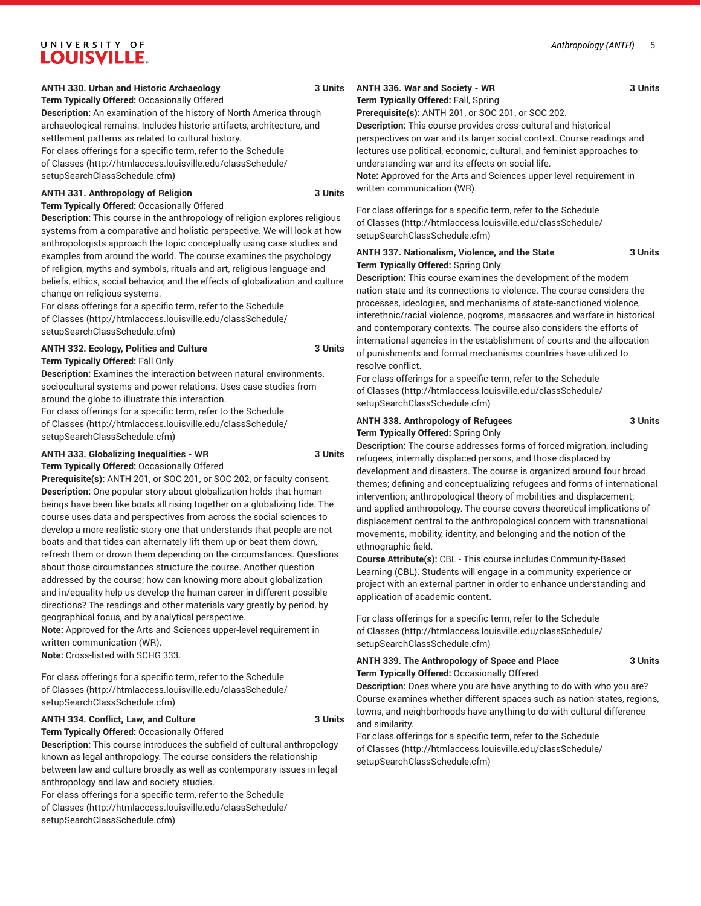#### **ANTH 330. Urban and Historic Archaeology 3 Units**

**Term Typically Offered:** Occasionally Offered **Description:** An examination of the history of North America through archaeological remains. Includes historic artifacts, architecture, and settlement patterns as related to cultural history.

For class offerings for a specific term, refer to the [Schedule](http://htmlaccess.louisville.edu/classSchedule/setupSearchClassSchedule.cfm) [of Classes \(http://htmlaccess.louisville.edu/classSchedule/](http://htmlaccess.louisville.edu/classSchedule/setupSearchClassSchedule.cfm) [setupSearchClassSchedule.cfm\)](http://htmlaccess.louisville.edu/classSchedule/setupSearchClassSchedule.cfm)

#### **ANTH 331. Anthropology of Religion 3 Units**

**Term Typically Offered:** Occasionally Offered

**Description:** This course in the anthropology of religion explores religious systems from a comparative and holistic perspective. We will look at how anthropologists approach the topic conceptually using case studies and examples from around the world. The course examines the psychology of religion, myths and symbols, rituals and art, religious language and beliefs, ethics, social behavior, and the effects of globalization and culture change on religious systems.

For class offerings for a specific term, refer to the [Schedule](http://htmlaccess.louisville.edu/classSchedule/setupSearchClassSchedule.cfm) [of Classes \(http://htmlaccess.louisville.edu/classSchedule/](http://htmlaccess.louisville.edu/classSchedule/setupSearchClassSchedule.cfm) [setupSearchClassSchedule.cfm\)](http://htmlaccess.louisville.edu/classSchedule/setupSearchClassSchedule.cfm)

#### **ANTH 332. Ecology, Politics and Culture 3 Units**

**Term Typically Offered:** Fall Only

**Description:** Examines the interaction between natural environments, sociocultural systems and power relations. Uses case studies from around the globe to illustrate this interaction.

For class offerings for a specific term, refer to the [Schedule](http://htmlaccess.louisville.edu/classSchedule/setupSearchClassSchedule.cfm) [of Classes \(http://htmlaccess.louisville.edu/classSchedule/](http://htmlaccess.louisville.edu/classSchedule/setupSearchClassSchedule.cfm) [setupSearchClassSchedule.cfm\)](http://htmlaccess.louisville.edu/classSchedule/setupSearchClassSchedule.cfm)

#### ANTH 333. Globalizing Inequalities - WR 3 Units **Term Typically Offered:** Occasionally Offered

**Prerequisite(s):** ANTH 201, or SOC 201, or SOC 202, or faculty consent. **Description:** One popular story about globalization holds that human beings have been like boats all rising together on a globalizing tide. The course uses data and perspectives from across the social sciences to develop a more realistic story-one that understands that people are not boats and that tides can alternately lift them up or beat them down, refresh them or drown them depending on the circumstances. Questions about those circumstances structure the course. Another question addressed by the course; how can knowing more about globalization and in/equality help us develop the human career in different possible directions? The readings and other materials vary greatly by period, by geographical focus, and by analytical perspective.

**Note:** Approved for the Arts and Sciences upper-level requirement in written communication (WR).

**Note:** Cross-listed with SCHG 333.

For class offerings for a specific term, refer to the [Schedule](http://htmlaccess.louisville.edu/classSchedule/setupSearchClassSchedule.cfm) [of Classes \(http://htmlaccess.louisville.edu/classSchedule/](http://htmlaccess.louisville.edu/classSchedule/setupSearchClassSchedule.cfm) [setupSearchClassSchedule.cfm\)](http://htmlaccess.louisville.edu/classSchedule/setupSearchClassSchedule.cfm)

#### **ANTH 334. Conflict, Law, and Culture 3 Units**

**Term Typically Offered:** Occasionally Offered

**Description:** This course introduces the subfield of cultural anthropology known as legal anthropology. The course considers the relationship between law and culture broadly as well as contemporary issues in legal anthropology and law and society studies.

For class offerings for a specific term, refer to the [Schedule](http://htmlaccess.louisville.edu/classSchedule/setupSearchClassSchedule.cfm) [of Classes \(http://htmlaccess.louisville.edu/classSchedule/](http://htmlaccess.louisville.edu/classSchedule/setupSearchClassSchedule.cfm) [setupSearchClassSchedule.cfm\)](http://htmlaccess.louisville.edu/classSchedule/setupSearchClassSchedule.cfm)

#### **ANTH 336. War and Society - WR 3 Units Term Typically Offered:** Fall, Spring

**Prerequisite(s):** ANTH 201, or SOC 201, or SOC 202.

**Description:** This course provides cross-cultural and historical perspectives on war and its larger social context. Course readings and lectures use political, economic, cultural, and feminist approaches to

understanding war and its effects on social life. **Note:** Approved for the Arts and Sciences upper-level requirement in

written communication (WR).

For class offerings for a specific term, refer to the [Schedule](http://htmlaccess.louisville.edu/classSchedule/setupSearchClassSchedule.cfm) [of Classes](http://htmlaccess.louisville.edu/classSchedule/setupSearchClassSchedule.cfm) ([http://htmlaccess.louisville.edu/classSchedule/](http://htmlaccess.louisville.edu/classSchedule/setupSearchClassSchedule.cfm) [setupSearchClassSchedule.cfm\)](http://htmlaccess.louisville.edu/classSchedule/setupSearchClassSchedule.cfm)

**ANTH 337. Nationalism, Violence, and the State 3 Units Term Typically Offered:** Spring Only

**Description:** This course examines the development of the modern nation-state and its connections to violence. The course considers the processes, ideologies, and mechanisms of state-sanctioned violence, interethnic/racial violence, pogroms, massacres and warfare in historical and contemporary contexts. The course also considers the efforts of international agencies in the establishment of courts and the allocation of punishments and formal mechanisms countries have utilized to resolve conflict.

For class offerings for a specific term, refer to the [Schedule](http://htmlaccess.louisville.edu/classSchedule/setupSearchClassSchedule.cfm) [of Classes](http://htmlaccess.louisville.edu/classSchedule/setupSearchClassSchedule.cfm) ([http://htmlaccess.louisville.edu/classSchedule/](http://htmlaccess.louisville.edu/classSchedule/setupSearchClassSchedule.cfm) [setupSearchClassSchedule.cfm\)](http://htmlaccess.louisville.edu/classSchedule/setupSearchClassSchedule.cfm)

#### **ANTH 338. Anthropology of Refugees 3 Units Term Typically Offered:** Spring Only

**Description:** The course addresses forms of forced migration, including refugees, internally displaced persons, and those displaced by development and disasters. The course is organized around four broad themes; defining and conceptualizing refugees and forms of international intervention; anthropological theory of mobilities and displacement; and applied anthropology. The course covers theoretical implications of displacement central to the anthropological concern with transnational movements, mobility, identity, and belonging and the notion of the ethnographic field.

**Course Attribute(s):** CBL - This course includes Community-Based Learning (CBL). Students will engage in a community experience or project with an external partner in order to enhance understanding and application of academic content.

For class offerings for a specific term, refer to the [Schedule](http://htmlaccess.louisville.edu/classSchedule/setupSearchClassSchedule.cfm) [of Classes](http://htmlaccess.louisville.edu/classSchedule/setupSearchClassSchedule.cfm) ([http://htmlaccess.louisville.edu/classSchedule/](http://htmlaccess.louisville.edu/classSchedule/setupSearchClassSchedule.cfm) [setupSearchClassSchedule.cfm\)](http://htmlaccess.louisville.edu/classSchedule/setupSearchClassSchedule.cfm)

#### **ANTH 339. The Anthropology of Space and Place 3 Units Term Typically Offered:** Occasionally Offered

**Description:** Does where you are have anything to do with who you are? Course examines whether different spaces such as nation-states, regions, towns, and neighborhoods have anything to do with cultural difference and similarity.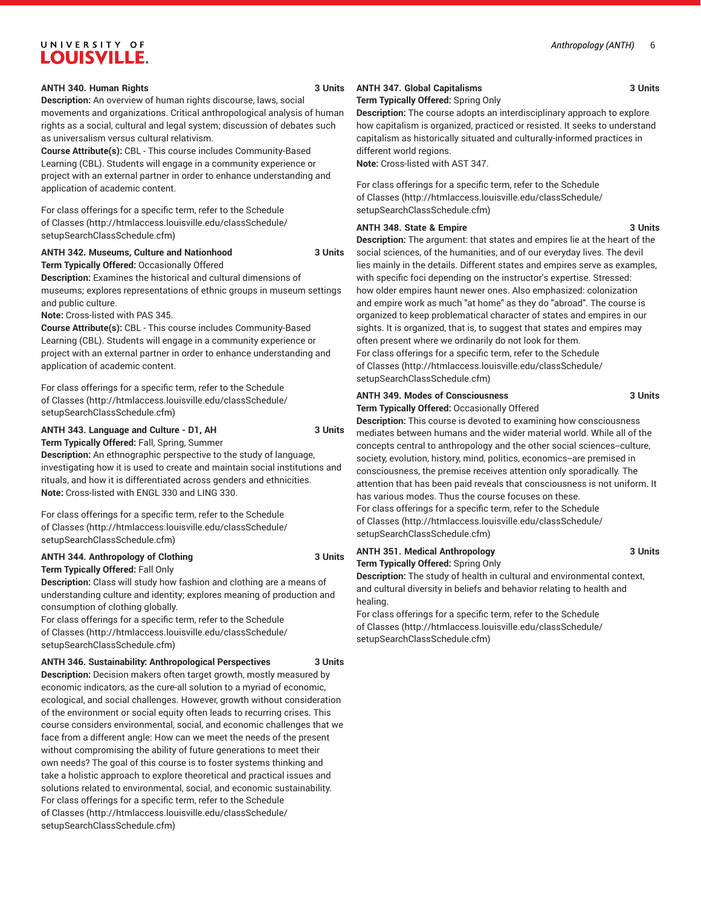#### **ANTH 340. Human Rights 3 Units** 3 Units

**Description:** An overview of human rights discourse, laws, social movements and organizations. Critical anthropological analysis of human rights as a social, cultural and legal system; discussion of debates such as universalism versus cultural relativism.

**Course Attribute(s):** CBL - This course includes Community-Based Learning (CBL). Students will engage in a community experience or project with an external partner in order to enhance understanding and application of academic content.

For class offerings for a specific term, refer to the [Schedule](http://htmlaccess.louisville.edu/classSchedule/setupSearchClassSchedule.cfm) [of Classes \(http://htmlaccess.louisville.edu/classSchedule/](http://htmlaccess.louisville.edu/classSchedule/setupSearchClassSchedule.cfm) [setupSearchClassSchedule.cfm\)](http://htmlaccess.louisville.edu/classSchedule/setupSearchClassSchedule.cfm)

#### **ANTH 342. Museums, Culture and Nationhood 3 Units**

**Term Typically Offered:** Occasionally Offered

**Description:** Examines the historical and cultural dimensions of museums; explores representations of ethnic groups in museum settings and public culture.

**Note:** Cross-listed with PAS 345.

**Course Attribute(s):** CBL - This course includes Community-Based Learning (CBL). Students will engage in a community experience or project with an external partner in order to enhance understanding and application of academic content.

For class offerings for a specific term, refer to the [Schedule](http://htmlaccess.louisville.edu/classSchedule/setupSearchClassSchedule.cfm) [of Classes \(http://htmlaccess.louisville.edu/classSchedule/](http://htmlaccess.louisville.edu/classSchedule/setupSearchClassSchedule.cfm) [setupSearchClassSchedule.cfm\)](http://htmlaccess.louisville.edu/classSchedule/setupSearchClassSchedule.cfm)

#### **ANTH 343. Language and Culture - D1, AH 3 Units**

**Term Typically Offered:** Fall, Spring, Summer

**Description:** An ethnographic perspective to the study of language, investigating how it is used to create and maintain social institutions and rituals, and how it is differentiated across genders and ethnicities. **Note:** Cross-listed with ENGL 330 and LING 330.

For class offerings for a specific term, refer to the [Schedule](http://htmlaccess.louisville.edu/classSchedule/setupSearchClassSchedule.cfm) [of Classes \(http://htmlaccess.louisville.edu/classSchedule/](http://htmlaccess.louisville.edu/classSchedule/setupSearchClassSchedule.cfm) [setupSearchClassSchedule.cfm\)](http://htmlaccess.louisville.edu/classSchedule/setupSearchClassSchedule.cfm)

#### **ANTH 344. Anthropology of Clothing 3 Units**

**Term Typically Offered:** Fall Only

**Description:** Class will study how fashion and clothing are a means of understanding culture and identity; explores meaning of production and consumption of clothing globally.

For class offerings for a specific term, refer to the [Schedule](http://htmlaccess.louisville.edu/classSchedule/setupSearchClassSchedule.cfm) [of Classes \(http://htmlaccess.louisville.edu/classSchedule/](http://htmlaccess.louisville.edu/classSchedule/setupSearchClassSchedule.cfm) [setupSearchClassSchedule.cfm\)](http://htmlaccess.louisville.edu/classSchedule/setupSearchClassSchedule.cfm)

#### **ANTH 346. Sustainability: Anthropological Perspectives 3 Units**

**Description:** Decision makers often target growth, mostly measured by economic indicators, as the cure-all solution to a myriad of economic, ecological, and social challenges. However, growth without consideration of the environment or social equity often leads to recurring crises. This course considers environmental, social, and economic challenges that we face from a different angle: How can we meet the needs of the present without compromising the ability of future generations to meet their own needs? The goal of this course is to foster systems thinking and take a holistic approach to explore theoretical and practical issues and solutions related to environmental, social, and economic sustainability. For class offerings for a specific term, refer to the [Schedule](http://htmlaccess.louisville.edu/classSchedule/setupSearchClassSchedule.cfm) [of Classes \(http://htmlaccess.louisville.edu/classSchedule/](http://htmlaccess.louisville.edu/classSchedule/setupSearchClassSchedule.cfm) [setupSearchClassSchedule.cfm\)](http://htmlaccess.louisville.edu/classSchedule/setupSearchClassSchedule.cfm)

# **ANTH 347. Global Capitalisms 3 Units** 3 Units

**Term Typically Offered:** Spring Only

**Description:** The course adopts an interdisciplinary approach to explore how capitalism is organized, practiced or resisted. It seeks to understand capitalism as historically situated and culturally-informed practices in different world regions.

**Note:** Cross-listed with AST 347.

For class offerings for a specific term, refer to the [Schedule](http://htmlaccess.louisville.edu/classSchedule/setupSearchClassSchedule.cfm) [of Classes](http://htmlaccess.louisville.edu/classSchedule/setupSearchClassSchedule.cfm) ([http://htmlaccess.louisville.edu/classSchedule/](http://htmlaccess.louisville.edu/classSchedule/setupSearchClassSchedule.cfm) [setupSearchClassSchedule.cfm\)](http://htmlaccess.louisville.edu/classSchedule/setupSearchClassSchedule.cfm)

#### **ANTH 348. State & Empire 3 Units**

**Description:** The argument: that states and empires lie at the heart of the social sciences, of the humanities, and of our everyday lives. The devil lies mainly in the details. Different states and empires serve as examples, with specific foci depending on the instructor's expertise. Stressed: how older empires haunt newer ones. Also emphasized: colonization and empire work as much "at home" as they do "abroad". The course is organized to keep problematical character of states and empires in our sights. It is organized, that is, to suggest that states and empires may often present where we ordinarily do not look for them. For class offerings for a specific term, refer to the [Schedule](http://htmlaccess.louisville.edu/classSchedule/setupSearchClassSchedule.cfm) [of Classes](http://htmlaccess.louisville.edu/classSchedule/setupSearchClassSchedule.cfm) ([http://htmlaccess.louisville.edu/classSchedule/](http://htmlaccess.louisville.edu/classSchedule/setupSearchClassSchedule.cfm) [setupSearchClassSchedule.cfm\)](http://htmlaccess.louisville.edu/classSchedule/setupSearchClassSchedule.cfm)

#### **ANTH 349. Modes of Consciousness 3 Units**

**Term Typically Offered:** Occasionally Offered

**Description:** This course is devoted to examining how consciousness mediates between humans and the wider material world. While all of the concepts central to anthropology and the other social sciences--culture, society, evolution, history, mind, politics, economics--are premised in consciousness, the premise receives attention only sporadically. The attention that has been paid reveals that consciousness is not uniform. It has various modes. Thus the course focuses on these. For class offerings for a specific term, refer to the [Schedule](http://htmlaccess.louisville.edu/classSchedule/setupSearchClassSchedule.cfm) [of Classes](http://htmlaccess.louisville.edu/classSchedule/setupSearchClassSchedule.cfm) ([http://htmlaccess.louisville.edu/classSchedule/](http://htmlaccess.louisville.edu/classSchedule/setupSearchClassSchedule.cfm) [setupSearchClassSchedule.cfm\)](http://htmlaccess.louisville.edu/classSchedule/setupSearchClassSchedule.cfm)

### **ANTH 351. Medical Anthropology 3 Units Term Typically Offered:** Spring Only

**Description:** The study of health in cultural and environmental context, and cultural diversity in beliefs and behavior relating to health and healing.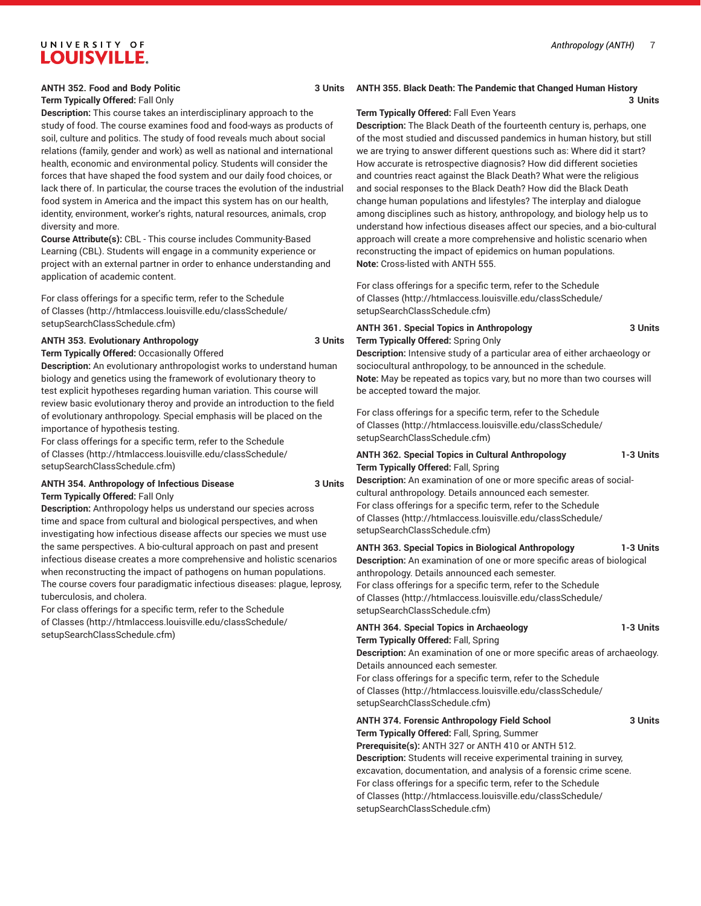#### **ANTH 352. Food and Body Politic 3 Units**

### **Term Typically Offered:** Fall Only

**Description:** This course takes an interdisciplinary approach to the study of food. The course examines food and food-ways as products of soil, culture and politics. The study of food reveals much about social relations (family, gender and work) as well as national and international health, economic and environmental policy. Students will consider the forces that have shaped the food system and our daily food choices, or lack there of. In particular, the course traces the evolution of the industrial food system in America and the impact this system has on our health, identity, environment, worker's rights, natural resources, animals, crop diversity and more.

**Course Attribute(s):** CBL - This course includes Community-Based Learning (CBL). Students will engage in a community experience or project with an external partner in order to enhance understanding and application of academic content.

For class offerings for a specific term, refer to the [Schedule](http://htmlaccess.louisville.edu/classSchedule/setupSearchClassSchedule.cfm) [of Classes \(http://htmlaccess.louisville.edu/classSchedule/](http://htmlaccess.louisville.edu/classSchedule/setupSearchClassSchedule.cfm) [setupSearchClassSchedule.cfm\)](http://htmlaccess.louisville.edu/classSchedule/setupSearchClassSchedule.cfm)

#### **ANTH 353. Evolutionary Anthropology 3 Units**

**Term Typically Offered:** Occasionally Offered **Description:** An evolutionary anthropologist works to understand human

biology and genetics using the framework of evolutionary theory to test explicit hypotheses regarding human variation. This course will review basic evolutionary theroy and provide an introduction to the field of evolutionary anthropology. Special emphasis will be placed on the importance of hypothesis testing.

For class offerings for a specific term, refer to the [Schedule](http://htmlaccess.louisville.edu/classSchedule/setupSearchClassSchedule.cfm) [of Classes \(http://htmlaccess.louisville.edu/classSchedule/](http://htmlaccess.louisville.edu/classSchedule/setupSearchClassSchedule.cfm) [setupSearchClassSchedule.cfm\)](http://htmlaccess.louisville.edu/classSchedule/setupSearchClassSchedule.cfm)

**ANTH 354. Anthropology of Infectious Disease 3 Units Term Typically Offered:** Fall Only

**Description:** Anthropology helps us understand our species across time and space from cultural and biological perspectives, and when investigating how infectious disease affects our species we must use the same perspectives. A bio-cultural approach on past and present infectious disease creates a more comprehensive and holistic scenarios when reconstructing the impact of pathogens on human populations. The course covers four paradigmatic infectious diseases: plague, leprosy, tuberculosis, and cholera.

For class offerings for a specific term, refer to the [Schedule](http://htmlaccess.louisville.edu/classSchedule/setupSearchClassSchedule.cfm) [of Classes \(http://htmlaccess.louisville.edu/classSchedule/](http://htmlaccess.louisville.edu/classSchedule/setupSearchClassSchedule.cfm) [setupSearchClassSchedule.cfm\)](http://htmlaccess.louisville.edu/classSchedule/setupSearchClassSchedule.cfm)

### **ANTH 355. Black Death: The Pandemic that Changed Human History**

**3 Units**

#### **Term Typically Offered:** Fall Even Years

**Description:** The Black Death of the fourteenth century is, perhaps, one of the most studied and discussed pandemics in human history, but still we are trying to answer different questions such as: Where did it start? How accurate is retrospective diagnosis? How did different societies and countries react against the Black Death? What were the religious and social responses to the Black Death? How did the Black Death change human populations and lifestyles? The interplay and dialogue among disciplines such as history, anthropology, and biology help us to understand how infectious diseases affect our species, and a bio-cultural approach will create a more comprehensive and holistic scenario when reconstructing the impact of epidemics on human populations. **Note:** Cross-listed with ANTH 555.

For class offerings for a specific term, refer to the [Schedule](http://htmlaccess.louisville.edu/classSchedule/setupSearchClassSchedule.cfm) [of Classes](http://htmlaccess.louisville.edu/classSchedule/setupSearchClassSchedule.cfm) ([http://htmlaccess.louisville.edu/classSchedule/](http://htmlaccess.louisville.edu/classSchedule/setupSearchClassSchedule.cfm) [setupSearchClassSchedule.cfm\)](http://htmlaccess.louisville.edu/classSchedule/setupSearchClassSchedule.cfm)

#### **ANTH 361. Special Topics in Anthropology 3 Units Term Typically Offered:** Spring Only

**Description:** Intensive study of a particular area of either archaeology or sociocultural anthropology, to be announced in the schedule. **Note:** May be repeated as topics vary, but no more than two courses will be accepted toward the major.

For class offerings for a specific term, refer to the [Schedule](http://htmlaccess.louisville.edu/classSchedule/setupSearchClassSchedule.cfm) [of Classes](http://htmlaccess.louisville.edu/classSchedule/setupSearchClassSchedule.cfm) ([http://htmlaccess.louisville.edu/classSchedule/](http://htmlaccess.louisville.edu/classSchedule/setupSearchClassSchedule.cfm) [setupSearchClassSchedule.cfm\)](http://htmlaccess.louisville.edu/classSchedule/setupSearchClassSchedule.cfm)

#### **ANTH 362. Special Topics in Cultural Anthropology 1-3 Units Term Typically Offered:** Fall, Spring

**Description:** An examination of one or more specific areas of socialcultural anthropology. Details announced each semester. For class offerings for a specific term, refer to the [Schedule](http://htmlaccess.louisville.edu/classSchedule/setupSearchClassSchedule.cfm) [of Classes](http://htmlaccess.louisville.edu/classSchedule/setupSearchClassSchedule.cfm) ([http://htmlaccess.louisville.edu/classSchedule/](http://htmlaccess.louisville.edu/classSchedule/setupSearchClassSchedule.cfm) [setupSearchClassSchedule.cfm\)](http://htmlaccess.louisville.edu/classSchedule/setupSearchClassSchedule.cfm)

**ANTH 363. Special Topics in Biological Anthropology 1-3 Units Description:** An examination of one or more specific areas of biological anthropology. Details announced each semester. For class offerings for a specific term, refer to the [Schedule](http://htmlaccess.louisville.edu/classSchedule/setupSearchClassSchedule.cfm) [of Classes](http://htmlaccess.louisville.edu/classSchedule/setupSearchClassSchedule.cfm) ([http://htmlaccess.louisville.edu/classSchedule/](http://htmlaccess.louisville.edu/classSchedule/setupSearchClassSchedule.cfm) [setupSearchClassSchedule.cfm\)](http://htmlaccess.louisville.edu/classSchedule/setupSearchClassSchedule.cfm)

**ANTH 364. Special Topics in Archaeology 1-3 Units Term Typically Offered:** Fall, Spring

**Description:** An examination of one or more specific areas of archaeology. Details announced each semester.

For class offerings for a specific term, refer to the [Schedule](http://htmlaccess.louisville.edu/classSchedule/setupSearchClassSchedule.cfm) [of Classes](http://htmlaccess.louisville.edu/classSchedule/setupSearchClassSchedule.cfm) ([http://htmlaccess.louisville.edu/classSchedule/](http://htmlaccess.louisville.edu/classSchedule/setupSearchClassSchedule.cfm) [setupSearchClassSchedule.cfm\)](http://htmlaccess.louisville.edu/classSchedule/setupSearchClassSchedule.cfm)

#### **ANTH 374. Forensic Anthropology Field School 3 Units Term Typically Offered:** Fall, Spring, Summer **Prerequisite(s):** ANTH 327 or ANTH 410 or ANTH 512.

**Description:** Students will receive experimental training in survey, excavation, documentation, and analysis of a forensic crime scene. For class offerings for a specific term, refer to the [Schedule](http://htmlaccess.louisville.edu/classSchedule/setupSearchClassSchedule.cfm) [of Classes](http://htmlaccess.louisville.edu/classSchedule/setupSearchClassSchedule.cfm) ([http://htmlaccess.louisville.edu/classSchedule/](http://htmlaccess.louisville.edu/classSchedule/setupSearchClassSchedule.cfm) [setupSearchClassSchedule.cfm\)](http://htmlaccess.louisville.edu/classSchedule/setupSearchClassSchedule.cfm)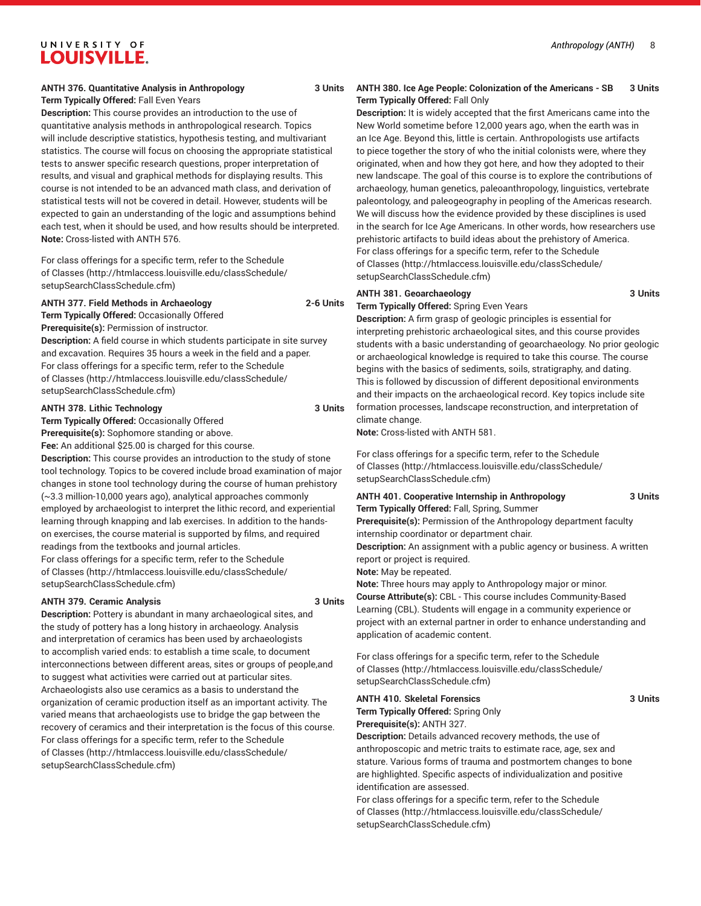#### **Term Typically Offered:** Fall Even Years

**Description:** This course provides an introduction to the use of quantitative analysis methods in anthropological research. Topics will include descriptive statistics, hypothesis testing, and multivariant statistics. The course will focus on choosing the appropriate statistical tests to answer specific research questions, proper interpretation of results, and visual and graphical methods for displaying results. This course is not intended to be an advanced math class, and derivation of statistical tests will not be covered in detail. However, students will be expected to gain an understanding of the logic and assumptions behind each test, when it should be used, and how results should be interpreted. **Note:** Cross-listed with ANTH 576.

For class offerings for a specific term, refer to the [Schedule](http://htmlaccess.louisville.edu/classSchedule/setupSearchClassSchedule.cfm) [of Classes \(http://htmlaccess.louisville.edu/classSchedule/](http://htmlaccess.louisville.edu/classSchedule/setupSearchClassSchedule.cfm) [setupSearchClassSchedule.cfm\)](http://htmlaccess.louisville.edu/classSchedule/setupSearchClassSchedule.cfm)

#### **ANTH 377. Field Methods in Archaeology 2-6 Units**

**Term Typically Offered:** Occasionally Offered

**Prerequisite(s):** Permission of instructor. **Description:** A field course in which students participate in site survey and excavation. Requires 35 hours a week in the field and a paper. For class offerings for a specific term, refer to the [Schedule](http://htmlaccess.louisville.edu/classSchedule/setupSearchClassSchedule.cfm) [of Classes \(http://htmlaccess.louisville.edu/classSchedule/](http://htmlaccess.louisville.edu/classSchedule/setupSearchClassSchedule.cfm) [setupSearchClassSchedule.cfm\)](http://htmlaccess.louisville.edu/classSchedule/setupSearchClassSchedule.cfm)

#### **ANTH 378. Lithic Technology 3 Units**

**Term Typically Offered:** Occasionally Offered

**Prerequisite(s):** Sophomore standing or above.

**Fee:** An additional \$25.00 is charged for this course.

**Description:** This course provides an introduction to the study of stone tool technology. Topics to be covered include broad examination of major changes in stone tool technology during the course of human prehistory (~3.3 million-10,000 years ago), analytical approaches commonly employed by archaeologist to interpret the lithic record, and experiential learning through knapping and lab exercises. In addition to the handson exercises, the course material is supported by films, and required readings from the textbooks and journal articles.

For class offerings for a specific term, refer to the [Schedule](http://htmlaccess.louisville.edu/classSchedule/setupSearchClassSchedule.cfm) [of Classes \(http://htmlaccess.louisville.edu/classSchedule/](http://htmlaccess.louisville.edu/classSchedule/setupSearchClassSchedule.cfm) [setupSearchClassSchedule.cfm\)](http://htmlaccess.louisville.edu/classSchedule/setupSearchClassSchedule.cfm)

#### **ANTH 379. Ceramic Analysis 3 Units**

**Description:** Pottery is abundant in many archaeological sites, and the study of pottery has a long history in archaeology. Analysis and interpretation of ceramics has been used by archaeologists to accomplish varied ends: to establish a time scale, to document interconnections between different areas, sites or groups of people,and to suggest what activities were carried out at particular sites. Archaeologists also use ceramics as a basis to understand the organization of ceramic production itself as an important activity. The varied means that archaeologists use to bridge the gap between the recovery of ceramics and their interpretation is the focus of this course. For class offerings for a specific term, refer to the [Schedule](http://htmlaccess.louisville.edu/classSchedule/setupSearchClassSchedule.cfm) [of Classes \(http://htmlaccess.louisville.edu/classSchedule/](http://htmlaccess.louisville.edu/classSchedule/setupSearchClassSchedule.cfm) [setupSearchClassSchedule.cfm\)](http://htmlaccess.louisville.edu/classSchedule/setupSearchClassSchedule.cfm)

#### **ANTH 380. Ice Age People: Colonization of the Americans - SB 3 Units Term Typically Offered:** Fall Only

**Description:** It is widely accepted that the first Americans came into the New World sometime before 12,000 years ago, when the earth was in an Ice Age. Beyond this, little is certain. Anthropologists use artifacts to piece together the story of who the initial colonists were, where they originated, when and how they got here, and how they adopted to their new landscape. The goal of this course is to explore the contributions of archaeology, human genetics, paleoanthropology, linguistics, vertebrate paleontology, and paleogeography in peopling of the Americas research. We will discuss how the evidence provided by these disciplines is used in the search for Ice Age Americans. In other words, how researchers use prehistoric artifacts to build ideas about the prehistory of America. For class offerings for a specific term, refer to the [Schedule](http://htmlaccess.louisville.edu/classSchedule/setupSearchClassSchedule.cfm) [of Classes](http://htmlaccess.louisville.edu/classSchedule/setupSearchClassSchedule.cfm) ([http://htmlaccess.louisville.edu/classSchedule/](http://htmlaccess.louisville.edu/classSchedule/setupSearchClassSchedule.cfm) [setupSearchClassSchedule.cfm\)](http://htmlaccess.louisville.edu/classSchedule/setupSearchClassSchedule.cfm)

#### **ANTH 381. Geoarchaeology 3 Units**

**Term Typically Offered:** Spring Even Years

**Description:** A firm grasp of geologic principles is essential for interpreting prehistoric archaeological sites, and this course provides students with a basic understanding of geoarchaeology. No prior geologic or archaeological knowledge is required to take this course. The course begins with the basics of sediments, soils, stratigraphy, and dating. This is followed by discussion of different depositional environments and their impacts on the archaeological record. Key topics include site formation processes, landscape reconstruction, and interpretation of climate change.

**Note:** Cross-listed with ANTH 581.

For class offerings for a specific term, refer to the [Schedule](http://htmlaccess.louisville.edu/classSchedule/setupSearchClassSchedule.cfm) [of Classes](http://htmlaccess.louisville.edu/classSchedule/setupSearchClassSchedule.cfm) ([http://htmlaccess.louisville.edu/classSchedule/](http://htmlaccess.louisville.edu/classSchedule/setupSearchClassSchedule.cfm) [setupSearchClassSchedule.cfm\)](http://htmlaccess.louisville.edu/classSchedule/setupSearchClassSchedule.cfm)

#### **ANTH 401. Cooperative Internship in Anthropology 3 Units Term Typically Offered:** Fall, Spring, Summer

**Prerequisite(s):** Permission of the Anthropology department faculty internship coordinator or department chair.

**Description:** An assignment with a public agency or business. A written report or project is required.

**Note:** May be repeated.

**Note:** Three hours may apply to Anthropology major or minor. **Course Attribute(s):** CBL - This course includes Community-Based Learning (CBL). Students will engage in a community experience or project with an external partner in order to enhance understanding and application of academic content.

For class offerings for a specific term, refer to the [Schedule](http://htmlaccess.louisville.edu/classSchedule/setupSearchClassSchedule.cfm) [of Classes](http://htmlaccess.louisville.edu/classSchedule/setupSearchClassSchedule.cfm) ([http://htmlaccess.louisville.edu/classSchedule/](http://htmlaccess.louisville.edu/classSchedule/setupSearchClassSchedule.cfm) [setupSearchClassSchedule.cfm\)](http://htmlaccess.louisville.edu/classSchedule/setupSearchClassSchedule.cfm)

#### **ANTH 410. Skeletal Forensics 3 Units**

**Term Typically Offered:** Spring Only **Prerequisite(s):** ANTH 327.

**Description:** Details advanced recovery methods, the use of anthroposcopic and metric traits to estimate race, age, sex and stature. Various forms of trauma and postmortem changes to bone are highlighted. Specific aspects of individualization and positive identification are assessed.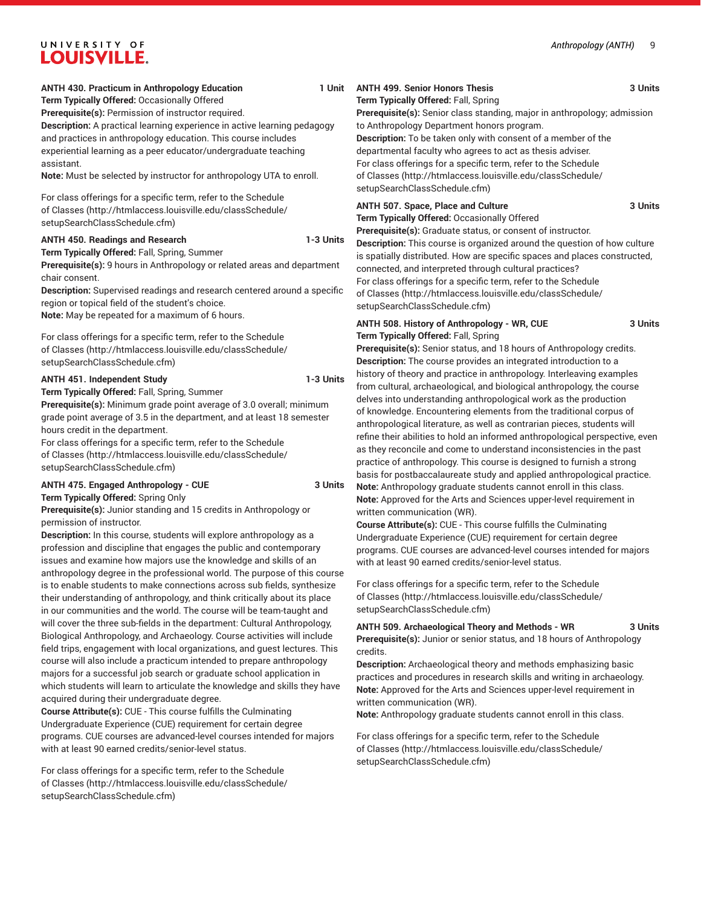#### **ANTH 430. Practicum in Anthropology Education**

**Term Typically Offered:** Occasionally Offered **Prerequisite(s):** Permission of instructor required. **Description:** A practical learning experience in active learning pedagogy and practices in anthropology education. This course includes experiential learning as a peer educator/undergraduate teaching assistant.

**Note:** Must be selected by instructor for anthropology UTA to enroll.

For class offerings for a specific term, refer to the [Schedule](http://htmlaccess.louisville.edu/classSchedule/setupSearchClassSchedule.cfm) [of Classes \(http://htmlaccess.louisville.edu/classSchedule/](http://htmlaccess.louisville.edu/classSchedule/setupSearchClassSchedule.cfm) [setupSearchClassSchedule.cfm\)](http://htmlaccess.louisville.edu/classSchedule/setupSearchClassSchedule.cfm)

#### **ANTH 450. Readings and Research 1-3 Units**

**Term Typically Offered:** Fall, Spring, Summer

**Prerequisite(s):** 9 hours in Anthropology or related areas and department chair consent.

**Description:** Supervised readings and research centered around a specific region or topical field of the student's choice.

**Note:** May be repeated for a maximum of 6 hours.

For class offerings for a specific term, refer to the [Schedule](http://htmlaccess.louisville.edu/classSchedule/setupSearchClassSchedule.cfm) [of Classes \(http://htmlaccess.louisville.edu/classSchedule/](http://htmlaccess.louisville.edu/classSchedule/setupSearchClassSchedule.cfm) [setupSearchClassSchedule.cfm\)](http://htmlaccess.louisville.edu/classSchedule/setupSearchClassSchedule.cfm)

#### **ANTH 451. Independent Study 1-3 Units**

**Term Typically Offered:** Fall, Spring, Summer **Prerequisite(s):** Minimum grade point average of 3.0 overall; minimum grade point average of 3.5 in the department, and at least 18 semester hours credit in the department.

For class offerings for a specific term, refer to the [Schedule](http://htmlaccess.louisville.edu/classSchedule/setupSearchClassSchedule.cfm) [of Classes \(http://htmlaccess.louisville.edu/classSchedule/](http://htmlaccess.louisville.edu/classSchedule/setupSearchClassSchedule.cfm) [setupSearchClassSchedule.cfm\)](http://htmlaccess.louisville.edu/classSchedule/setupSearchClassSchedule.cfm)

#### **ANTH 475. Engaged Anthropology - CUE 3 Units**

**Term Typically Offered:** Spring Only

**Prerequisite(s):** Junior standing and 15 credits in Anthropology or permission of instructor.

**Description:** In this course, students will explore anthropology as a profession and discipline that engages the public and contemporary issues and examine how majors use the knowledge and skills of an anthropology degree in the professional world. The purpose of this course is to enable students to make connections across sub fields, synthesize their understanding of anthropology, and think critically about its place in our communities and the world. The course will be team-taught and will cover the three sub-fields in the department: Cultural Anthropology, Biological Anthropology, and Archaeology. Course activities will include field trips, engagement with local organizations, and guest lectures. This course will also include a practicum intended to prepare anthropology majors for a successful job search or graduate school application in which students will learn to articulate the knowledge and skills they have acquired during their undergraduate degree.

**Course Attribute(s):** CUE - This course fulfills the Culminating Undergraduate Experience (CUE) requirement for certain degree programs. CUE courses are advanced-level courses intended for majors with at least 90 earned credits/senior-level status.

For class offerings for a specific term, refer to the [Schedule](http://htmlaccess.louisville.edu/classSchedule/setupSearchClassSchedule.cfm) [of Classes \(http://htmlaccess.louisville.edu/classSchedule/](http://htmlaccess.louisville.edu/classSchedule/setupSearchClassSchedule.cfm) [setupSearchClassSchedule.cfm\)](http://htmlaccess.louisville.edu/classSchedule/setupSearchClassSchedule.cfm)

**ANTH 499. Senior Honors Thesis 3 Units Term Typically Offered:** Fall, Spring

> **Prerequisite(s):** Senior class standing, major in anthropology; admission to Anthropology Department honors program. **Description:** To be taken only with consent of a member of the departmental faculty who agrees to act as thesis adviser. For class offerings for a specific term, refer to the [Schedule](http://htmlaccess.louisville.edu/classSchedule/setupSearchClassSchedule.cfm) [of Classes](http://htmlaccess.louisville.edu/classSchedule/setupSearchClassSchedule.cfm) ([http://htmlaccess.louisville.edu/classSchedule/](http://htmlaccess.louisville.edu/classSchedule/setupSearchClassSchedule.cfm) [setupSearchClassSchedule.cfm\)](http://htmlaccess.louisville.edu/classSchedule/setupSearchClassSchedule.cfm)

### **ANTH 507. Space, Place and Culture 3 Units**

**Term Typically Offered:** Occasionally Offered

**Prerequisite(s):** Graduate status, or consent of instructor. **Description:** This course is organized around the question of how culture is spatially distributed. How are specific spaces and places constructed, connected, and interpreted through cultural practices? For class offerings for a specific term, refer to the [Schedule](http://htmlaccess.louisville.edu/classSchedule/setupSearchClassSchedule.cfm) [of Classes](http://htmlaccess.louisville.edu/classSchedule/setupSearchClassSchedule.cfm) ([http://htmlaccess.louisville.edu/classSchedule/](http://htmlaccess.louisville.edu/classSchedule/setupSearchClassSchedule.cfm) [setupSearchClassSchedule.cfm\)](http://htmlaccess.louisville.edu/classSchedule/setupSearchClassSchedule.cfm)

#### **ANTH 508. History of Anthropology - WR, CUE 3 Units Term Typically Offered:** Fall, Spring

**Prerequisite(s):** Senior status, and 18 hours of Anthropology credits. **Description:** The course provides an integrated introduction to a history of theory and practice in anthropology. Interleaving examples from cultural, archaeological, and biological anthropology, the course delves into understanding anthropological work as the production of knowledge. Encountering elements from the traditional corpus of anthropological literature, as well as contrarian pieces, students will refine their abilities to hold an informed anthropological perspective, even as they reconcile and come to understand inconsistencies in the past practice of anthropology. This course is designed to furnish a strong basis for postbaccalaureate study and applied anthropological practice. **Note:** Anthropology graduate students cannot enroll in this class. **Note:** Approved for the Arts and Sciences upper-level requirement in written communication (WR).

**Course Attribute(s):** CUE - This course fulfills the Culminating Undergraduate Experience (CUE) requirement for certain degree programs. CUE courses are advanced-level courses intended for majors with at least 90 earned credits/senior-level status.

For class offerings for a specific term, refer to the [Schedule](http://htmlaccess.louisville.edu/classSchedule/setupSearchClassSchedule.cfm) [of Classes](http://htmlaccess.louisville.edu/classSchedule/setupSearchClassSchedule.cfm) ([http://htmlaccess.louisville.edu/classSchedule/](http://htmlaccess.louisville.edu/classSchedule/setupSearchClassSchedule.cfm) [setupSearchClassSchedule.cfm\)](http://htmlaccess.louisville.edu/classSchedule/setupSearchClassSchedule.cfm)

#### **ANTH 509. Archaeological Theory and Methods - WR 3 Units**

**Prerequisite(s):** Junior or senior status, and 18 hours of Anthropology credits.

**Description:** Archaeological theory and methods emphasizing basic practices and procedures in research skills and writing in archaeology. **Note:** Approved for the Arts and Sciences upper-level requirement in written communication (WR).

**Note:** Anthropology graduate students cannot enroll in this class.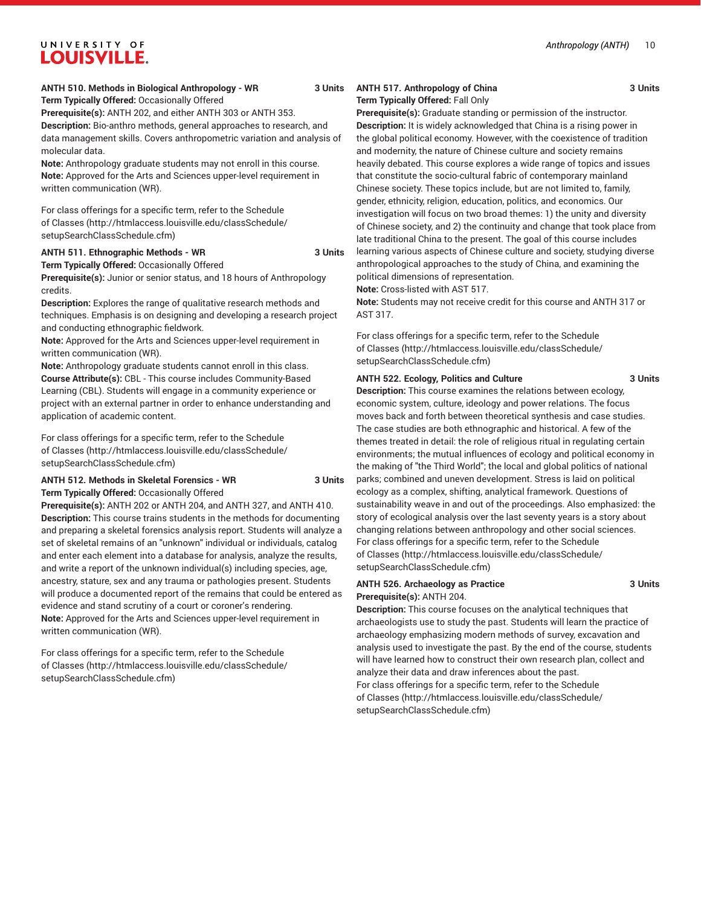# **ANTH 510. Methods in Biological Anthropology - WR 3 Units**

**Term Typically Offered:** Occasionally Offered

**Prerequisite(s):** ANTH 202, and either ANTH 303 or ANTH 353.

**Description:** Bio-anthro methods, general approaches to research, and data management skills. Covers anthropometric variation and analysis of molecular data.

**Note:** Anthropology graduate students may not enroll in this course. **Note:** Approved for the Arts and Sciences upper-level requirement in written communication (WR).

For class offerings for a specific term, refer to the [Schedule](http://htmlaccess.louisville.edu/classSchedule/setupSearchClassSchedule.cfm) [of Classes \(http://htmlaccess.louisville.edu/classSchedule/](http://htmlaccess.louisville.edu/classSchedule/setupSearchClassSchedule.cfm) [setupSearchClassSchedule.cfm\)](http://htmlaccess.louisville.edu/classSchedule/setupSearchClassSchedule.cfm)

#### **ANTH 511. Ethnographic Methods - WR 3 Units**

**Term Typically Offered:** Occasionally Offered

**Prerequisite(s):** Junior or senior status, and 18 hours of Anthropology credits.

**Description:** Explores the range of qualitative research methods and techniques. Emphasis is on designing and developing a research project and conducting ethnographic fieldwork.

**Note:** Approved for the Arts and Sciences upper-level requirement in written communication (WR).

**Note:** Anthropology graduate students cannot enroll in this class. **Course Attribute(s):** CBL - This course includes Community-Based Learning (CBL). Students will engage in a community experience or project with an external partner in order to enhance understanding and application of academic content.

For class offerings for a specific term, refer to the [Schedule](http://htmlaccess.louisville.edu/classSchedule/setupSearchClassSchedule.cfm) [of Classes \(http://htmlaccess.louisville.edu/classSchedule/](http://htmlaccess.louisville.edu/classSchedule/setupSearchClassSchedule.cfm) [setupSearchClassSchedule.cfm\)](http://htmlaccess.louisville.edu/classSchedule/setupSearchClassSchedule.cfm)

#### **ANTH 512. Methods in Skeletal Forensics - WR 3 Units Term Typically Offered:** Occasionally Offered

**Prerequisite(s):** ANTH 202 or ANTH 204, and ANTH 327, and ANTH 410. **Description:** This course trains students in the methods for documenting and preparing a skeletal forensics analysis report. Students will analyze a set of skeletal remains of an "unknown" individual or individuals, catalog and enter each element into a database for analysis, analyze the results, and write a report of the unknown individual(s) including species, age, ancestry, stature, sex and any trauma or pathologies present. Students will produce a documented report of the remains that could be entered as evidence and stand scrutiny of a court or coroner's rendering. **Note:** Approved for the Arts and Sciences upper-level requirement in written communication (WR).

For class offerings for a specific term, refer to the [Schedule](http://htmlaccess.louisville.edu/classSchedule/setupSearchClassSchedule.cfm) [of Classes \(http://htmlaccess.louisville.edu/classSchedule/](http://htmlaccess.louisville.edu/classSchedule/setupSearchClassSchedule.cfm) [setupSearchClassSchedule.cfm\)](http://htmlaccess.louisville.edu/classSchedule/setupSearchClassSchedule.cfm)

#### ANTH 517. Anthropology of China 3 Units **Term Typically Offered:** Fall Only

**Prerequisite(s):** Graduate standing or permission of the instructor. **Description:** It is widely acknowledged that China is a rising power in the global political economy. However, with the coexistence of tradition and modernity, the nature of Chinese culture and society remains heavily debated. This course explores a wide range of topics and issues that constitute the socio-cultural fabric of contemporary mainland Chinese society. These topics include, but are not limited to, family, gender, ethnicity, religion, education, politics, and economics. Our

investigation will focus on two broad themes: 1) the unity and diversity of Chinese society, and 2) the continuity and change that took place from late traditional China to the present. The goal of this course includes learning various aspects of Chinese culture and society, studying diverse anthropological approaches to the study of China, and examining the political dimensions of representation.

**Note:** Cross-listed with AST 517.

**Note:** Students may not receive credit for this course and ANTH 317 or AST 317.

For class offerings for a specific term, refer to the [Schedule](http://htmlaccess.louisville.edu/classSchedule/setupSearchClassSchedule.cfm) [of Classes](http://htmlaccess.louisville.edu/classSchedule/setupSearchClassSchedule.cfm) ([http://htmlaccess.louisville.edu/classSchedule/](http://htmlaccess.louisville.edu/classSchedule/setupSearchClassSchedule.cfm) [setupSearchClassSchedule.cfm\)](http://htmlaccess.louisville.edu/classSchedule/setupSearchClassSchedule.cfm)

#### **ANTH 522. Ecology, Politics and Culture 3 Units**

**Description:** This course examines the relations between ecology, economic system, culture, ideology and power relations. The focus moves back and forth between theoretical synthesis and case studies. The case studies are both ethnographic and historical. A few of the themes treated in detail: the role of religious ritual in regulating certain environments; the mutual influences of ecology and political economy in the making of "the Third World"; the local and global politics of national parks; combined and uneven development. Stress is laid on political ecology as a complex, shifting, analytical framework. Questions of sustainability weave in and out of the proceedings. Also emphasized: the story of ecological analysis over the last seventy years is a story about changing relations between anthropology and other social sciences. For class offerings for a specific term, refer to the [Schedule](http://htmlaccess.louisville.edu/classSchedule/setupSearchClassSchedule.cfm) [of Classes](http://htmlaccess.louisville.edu/classSchedule/setupSearchClassSchedule.cfm) ([http://htmlaccess.louisville.edu/classSchedule/](http://htmlaccess.louisville.edu/classSchedule/setupSearchClassSchedule.cfm) [setupSearchClassSchedule.cfm\)](http://htmlaccess.louisville.edu/classSchedule/setupSearchClassSchedule.cfm)

#### **ANTH 526. Archaeology as Practice 3 Units Prerequisite(s):** ANTH 204.

**Description:** This course focuses on the analytical techniques that archaeologists use to study the past. Students will learn the practice of archaeology emphasizing modern methods of survey, excavation and analysis used to investigate the past. By the end of the course, students will have learned how to construct their own research plan, collect and analyze their data and draw inferences about the past. For class offerings for a specific term, refer to the [Schedule](http://htmlaccess.louisville.edu/classSchedule/setupSearchClassSchedule.cfm) [of Classes](http://htmlaccess.louisville.edu/classSchedule/setupSearchClassSchedule.cfm) ([http://htmlaccess.louisville.edu/classSchedule/](http://htmlaccess.louisville.edu/classSchedule/setupSearchClassSchedule.cfm) [setupSearchClassSchedule.cfm\)](http://htmlaccess.louisville.edu/classSchedule/setupSearchClassSchedule.cfm)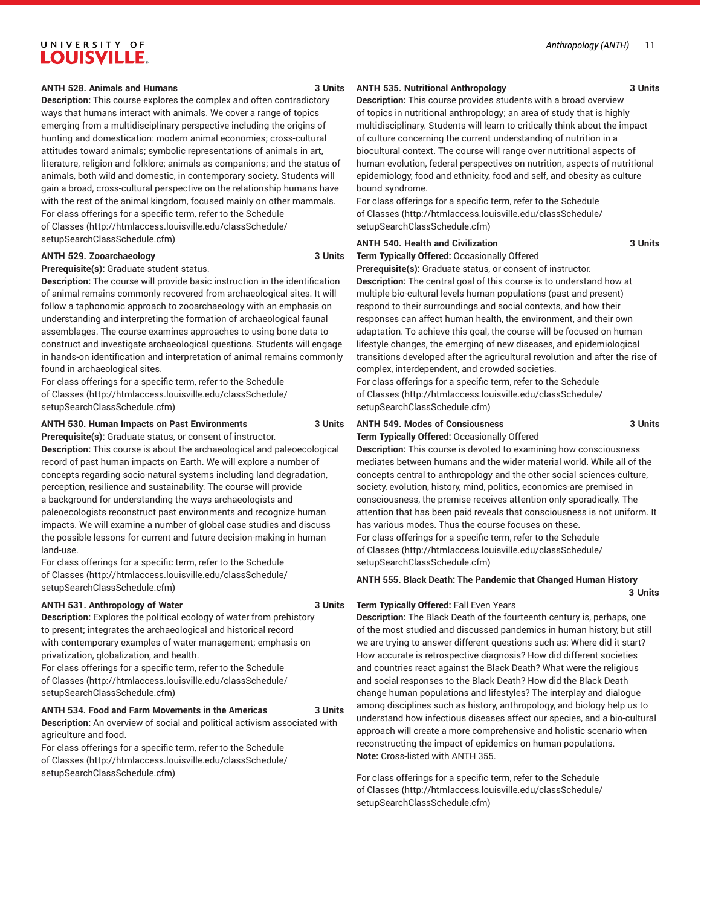#### **ANTH 528. Animals and Humans 3 Units**

**Description:** This course explores the complex and often contradictory ways that humans interact with animals. We cover a range of topics emerging from a multidisciplinary perspective including the origins of hunting and domestication: modern animal economies; cross-cultural attitudes toward animals; symbolic representations of animals in art, literature, religion and folklore; animals as companions; and the status of animals, both wild and domestic, in contemporary society. Students will gain a broad, cross-cultural perspective on the relationship humans have with the rest of the animal kingdom, focused mainly on other mammals. For class offerings for a specific term, refer to the [Schedule](http://htmlaccess.louisville.edu/classSchedule/setupSearchClassSchedule.cfm) [of Classes \(http://htmlaccess.louisville.edu/classSchedule/](http://htmlaccess.louisville.edu/classSchedule/setupSearchClassSchedule.cfm) [setupSearchClassSchedule.cfm\)](http://htmlaccess.louisville.edu/classSchedule/setupSearchClassSchedule.cfm)

#### **ANTH 529. Zooarchaeology 3 Units**

**Prerequisite(s):** Graduate student status.

**Description:** The course will provide basic instruction in the identification of animal remains commonly recovered from archaeological sites. It will follow a taphonomic approach to zooarchaeology with an emphasis on understanding and interpreting the formation of archaeological faunal assemblages. The course examines approaches to using bone data to construct and investigate archaeological questions. Students will engage in hands-on identification and interpretation of animal remains commonly found in archaeological sites.

For class offerings for a specific term, refer to the [Schedule](http://htmlaccess.louisville.edu/classSchedule/setupSearchClassSchedule.cfm) [of Classes \(http://htmlaccess.louisville.edu/classSchedule/](http://htmlaccess.louisville.edu/classSchedule/setupSearchClassSchedule.cfm) [setupSearchClassSchedule.cfm\)](http://htmlaccess.louisville.edu/classSchedule/setupSearchClassSchedule.cfm)

#### **ANTH 530. Human Impacts on Past Environments 3 Units**

**Prerequisite(s):** Graduate status, or consent of instructor.

**Description:** This course is about the archaeological and paleoecological record of past human impacts on Earth. We will explore a number of concepts regarding socio-natural systems including land degradation, perception, resilience and sustainability. The course will provide a background for understanding the ways archaeologists and paleoecologists reconstruct past environments and recognize human impacts. We will examine a number of global case studies and discuss the possible lessons for current and future decision-making in human land-use.

For class offerings for a specific term, refer to the [Schedule](http://htmlaccess.louisville.edu/classSchedule/setupSearchClassSchedule.cfm) [of Classes \(http://htmlaccess.louisville.edu/classSchedule/](http://htmlaccess.louisville.edu/classSchedule/setupSearchClassSchedule.cfm) [setupSearchClassSchedule.cfm\)](http://htmlaccess.louisville.edu/classSchedule/setupSearchClassSchedule.cfm)

#### **ANTH 531. Anthropology of Water 3 Units**

**Description:** Explores the political ecology of water from prehistory to present; integrates the archaeological and historical record with contemporary examples of water management; emphasis on privatization, globalization, and health.

For class offerings for a specific term, refer to the [Schedule](http://htmlaccess.louisville.edu/classSchedule/setupSearchClassSchedule.cfm) [of Classes \(http://htmlaccess.louisville.edu/classSchedule/](http://htmlaccess.louisville.edu/classSchedule/setupSearchClassSchedule.cfm) [setupSearchClassSchedule.cfm\)](http://htmlaccess.louisville.edu/classSchedule/setupSearchClassSchedule.cfm)

#### **ANTH 534. Food and Farm Movements in the Americas 3 Units**

**Description:** An overview of social and political activism associated with agriculture and food.

For class offerings for a specific term, refer to the [Schedule](http://htmlaccess.louisville.edu/classSchedule/setupSearchClassSchedule.cfm) [of Classes \(http://htmlaccess.louisville.edu/classSchedule/](http://htmlaccess.louisville.edu/classSchedule/setupSearchClassSchedule.cfm) [setupSearchClassSchedule.cfm\)](http://htmlaccess.louisville.edu/classSchedule/setupSearchClassSchedule.cfm)

## **ANTH 535. Nutritional Anthropology 3 Units**

**Description:** This course provides students with a broad overview of topics in nutritional anthropology; an area of study that is highly multidisciplinary. Students will learn to critically think about the impact of culture concerning the current understanding of nutrition in a biocultural context. The course will range over nutritional aspects of human evolution, federal perspectives on nutrition, aspects of nutritional epidemiology, food and ethnicity, food and self, and obesity as culture bound syndrome.

For class offerings for a specific term, refer to the [Schedule](http://htmlaccess.louisville.edu/classSchedule/setupSearchClassSchedule.cfm) [of Classes](http://htmlaccess.louisville.edu/classSchedule/setupSearchClassSchedule.cfm) ([http://htmlaccess.louisville.edu/classSchedule/](http://htmlaccess.louisville.edu/classSchedule/setupSearchClassSchedule.cfm) [setupSearchClassSchedule.cfm\)](http://htmlaccess.louisville.edu/classSchedule/setupSearchClassSchedule.cfm)

#### **ANTH 540. Health and Civilization 3 Units**

**Term Typically Offered:** Occasionally Offered

**Prerequisite(s):** Graduate status, or consent of instructor. **Description:** The central goal of this course is to understand how at multiple bio-cultural levels human populations (past and present) respond to their surroundings and social contexts, and how their responses can affect human health, the environment, and their own adaptation. To achieve this goal, the course will be focused on human lifestyle changes, the emerging of new diseases, and epidemiological transitions developed after the agricultural revolution and after the rise of complex, interdependent, and crowded societies.

For class offerings for a specific term, refer to the [Schedule](http://htmlaccess.louisville.edu/classSchedule/setupSearchClassSchedule.cfm) [of Classes](http://htmlaccess.louisville.edu/classSchedule/setupSearchClassSchedule.cfm) ([http://htmlaccess.louisville.edu/classSchedule/](http://htmlaccess.louisville.edu/classSchedule/setupSearchClassSchedule.cfm) [setupSearchClassSchedule.cfm\)](http://htmlaccess.louisville.edu/classSchedule/setupSearchClassSchedule.cfm)

#### **ANTH 549. Modes of Consiousness 3 Units**

**Term Typically Offered:** Occasionally Offered

**Description:** This course is devoted to examining how consciousness mediates between humans and the wider material world. While all of the concepts central to anthropology and the other social sciences-culture, society, evolution, history, mind, politics, economics-are premised in consciousness, the premise receives attention only sporadically. The attention that has been paid reveals that consciousness is not uniform. It has various modes. Thus the course focuses on these. For class offerings for a specific term, refer to the [Schedule](http://htmlaccess.louisville.edu/classSchedule/setupSearchClassSchedule.cfm) [of Classes](http://htmlaccess.louisville.edu/classSchedule/setupSearchClassSchedule.cfm) ([http://htmlaccess.louisville.edu/classSchedule/](http://htmlaccess.louisville.edu/classSchedule/setupSearchClassSchedule.cfm) [setupSearchClassSchedule.cfm\)](http://htmlaccess.louisville.edu/classSchedule/setupSearchClassSchedule.cfm)

#### **ANTH 555. Black Death: The Pandemic that Changed Human History 3 Units**

#### **Term Typically Offered:** Fall Even Years

**Description:** The Black Death of the fourteenth century is, perhaps, one of the most studied and discussed pandemics in human history, but still we are trying to answer different questions such as: Where did it start? How accurate is retrospective diagnosis? How did different societies and countries react against the Black Death? What were the religious and social responses to the Black Death? How did the Black Death change human populations and lifestyles? The interplay and dialogue among disciplines such as history, anthropology, and biology help us to understand how infectious diseases affect our species, and a bio-cultural approach will create a more comprehensive and holistic scenario when reconstructing the impact of epidemics on human populations. **Note:** Cross-listed with ANTH 355.